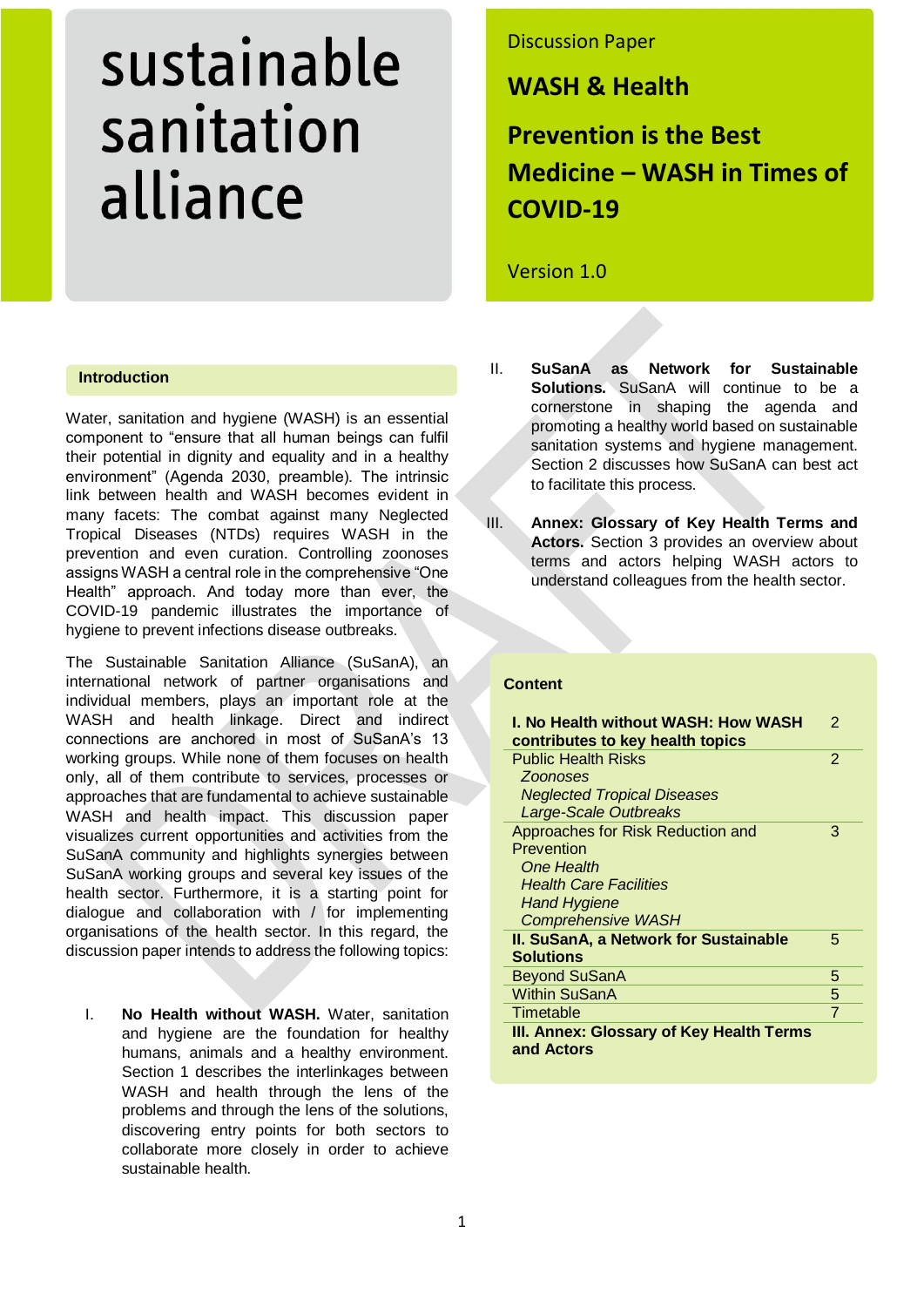# sustainable sanitation alliance

#### **Introduction**

Water, sanitation and hygiene (WASH) is an essential component to "ensure that all human beings can fulfil their potential in dignity and equality and in a healthy environment" (Agenda 2030, preamble). The intrinsic link between health and WASH becomes evident in many facets: The combat against many Neglected Tropical Diseases (NTDs) requires WASH in the prevention and even curation. Controlling zoonoses assigns WASH a central role in the comprehensive "One Health" approach. And today more than ever, the COVID-19 pandemic illustrates the importance of hygiene to prevent infections disease outbreaks.

The Sustainable Sanitation Alliance (SuSanA), an international network of partner organisations and individual members, plays an important role at the WASH and health linkage. Direct and indirect connections are anchored in most of SuSanA's 13 working groups. While none of them focuses on health only, all of them contribute to services, processes or approaches that are fundamental to achieve sustainable WASH and health impact. This discussion paper visualizes current opportunities and activities from the SuSanA community and highlights synergies between SuSanA working groups and several key issues of the health sector. Furthermore, it is a starting point for dialogue and collaboration with / for implementing organisations of the health sector. In this regard, the discussion paper intends to address the following topics:

I. **No Health without WASH.** Water, sanitation and hygiene are the foundation for healthy humans, animals and a healthy environment. Section 1 describes the interlinkages between WASH and health through the lens of the problems and through the lens of the solutions, discovering entry points for both sectors to collaborate more closely in order to achieve sustainable health.

# Discussion Paper

**WASH & Health**

**Prevention is the Best Medicine – WASH in Times of COVID-19**

Version 1.0

- II. **SuSanA as Network for Sustainable Solutions.** SuSanA will continue to be a cornerstone in shaping the agenda and promoting a healthy world based on sustainable sanitation systems and hygiene management. Section 2 discusses how SuSanA can best act to facilitate this process.
- III. **Annex: Glossary of Key Health Terms and Actors.** Section 3 provides an overview about terms and actors helping WASH actors to understand colleagues from the health sector.

## **Content**

| I. No Health without WASH: How WASH<br>contributes to key health topics | 2              |
|-------------------------------------------------------------------------|----------------|
| <b>Public Health Risks</b>                                              | $\overline{2}$ |
| <b>Zoonoses</b>                                                         |                |
| <b>Neglected Tropical Diseases</b>                                      |                |
| <b>Large-Scale Outbreaks</b>                                            |                |
| Approaches for Risk Reduction and                                       | 3              |
| Prevention                                                              |                |
| One Health                                                              |                |
| <b>Health Care Facilities</b>                                           |                |
| <b>Hand Hygiene</b>                                                     |                |
| <b>Comprehensive WASH</b>                                               |                |
| <b>II. SuSanA, a Network for Sustainable</b>                            | 5              |
| <b>Solutions</b>                                                        |                |
| <b>Beyond SuSanA</b>                                                    | 5              |
| <b>Within SuSanA</b>                                                    | 5              |
| Timetable                                                               | $\overline{7}$ |
| III. Annex: Glossary of Key Health Terms<br>and Actors                  |                |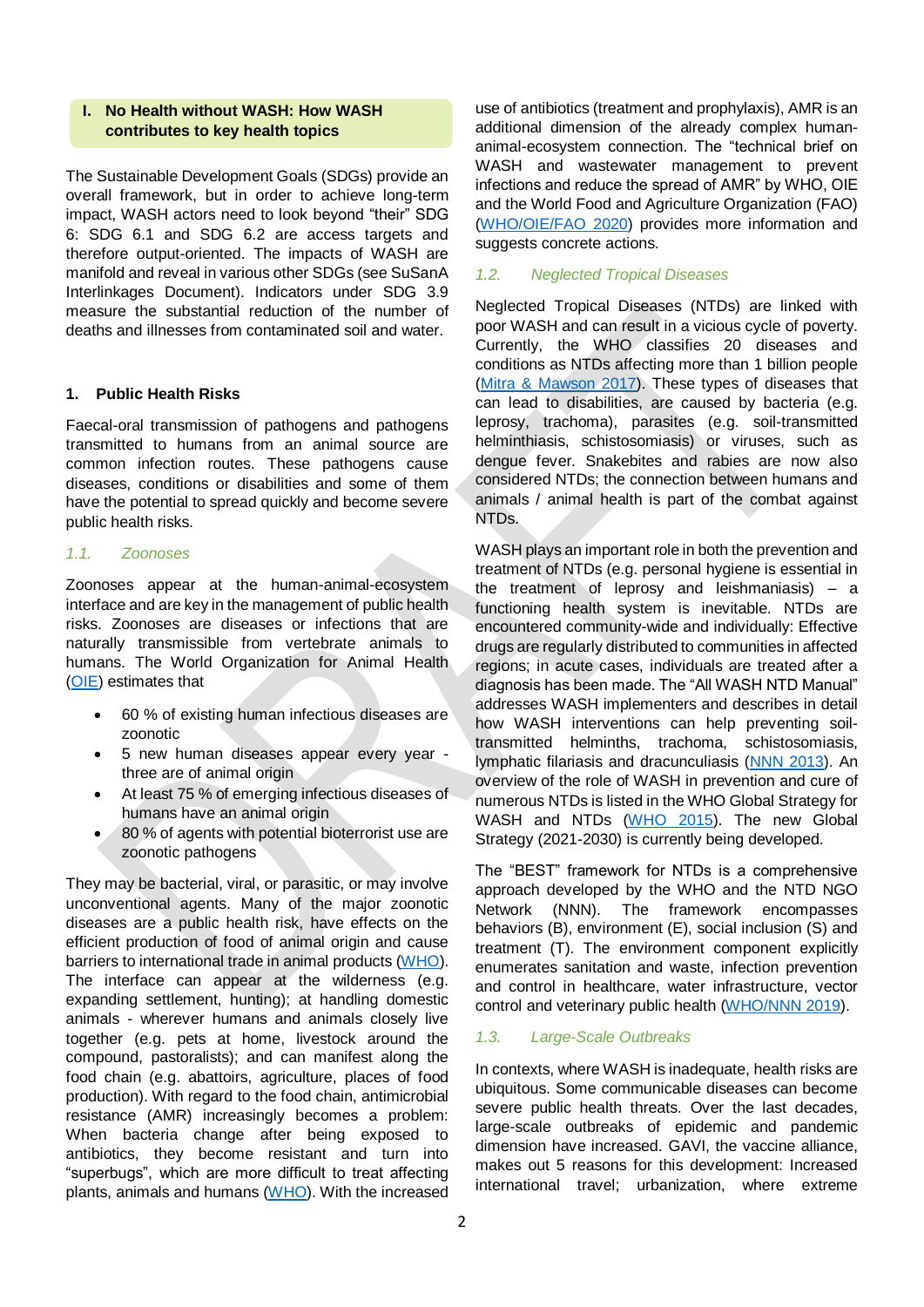#### **I. No Health without WASH: How WASH contributes to key health topics**

The Sustainable Development Goals (SDGs) provide an overall framework, but in order to achieve long-term impact, WASH actors need to look beyond "their" SDG 6: SDG 6.1 and SDG 6.2 are access targets and therefore output-oriented. The impacts of WASH are manifold and reveal in various other SDGs (see SuSanA Interlinkages Document). Indicators under SDG 3.9 measure the substantial reduction of the number of deaths and illnesses from contaminated soil and water.

#### **1. Public Health Risks**

Faecal-oral transmission of pathogens and pathogens transmitted to humans from an animal source are common infection routes. These pathogens cause diseases, conditions or disabilities and some of them have the potential to spread quickly and become severe public health risks.

#### *1.1. Zoonoses*

Zoonoses appear at the human-animal-ecosystem interface and are key in the management of public health risks. Zoonoses are diseases or infections that are naturally transmissible from vertebrate animals to humans. The World Organization for Animal Health [\(OIE\)](https://www.oie.int/en/for-the-media/onehealth/) estimates that

- 60 % of existing human infectious diseases are zoonotic
- 5 new human diseases appear every year three are of animal origin
- At least 75 % of emerging infectious diseases of humans have an animal origin
- 80 % of agents with potential bioterrorist use are zoonotic pathogens

They may be bacterial, viral, or parasitic, or may involve unconventional agents. Many of the major zoonotic diseases are a public health risk, have effects on the efficient production of food of animal origin and cause barriers to international trade in animal products [\(WHO\)](https://www.who.int/topics/zoonoses/en/). The interface can appear at the wilderness (e.g. expanding settlement, hunting); at handling domestic animals - wherever humans and animals closely live together (e.g. pets at home, livestock around the compound, pastoralists); and can manifest along the food chain (e.g. abattoirs, agriculture, places of food production). With regard to the food chain, antimicrobial resistance (AMR) increasingly becomes a problem: When bacteria change after being exposed to antibiotics, they become resistant and turn into "superbugs", which are more difficult to treat affecting plants, animals and humans [\(WHO\)](https://www.who.int/features/qa/one-health/en/). With the increased

use of antibiotics (treatment and prophylaxis), AMR is an additional dimension of the already complex humananimal-ecosystem connection. The "technical brief on WASH and wastewater management to prevent infections and reduce the spread of AMR" by WHO, OIE and the World Food and Agriculture Organization (FAO) [\(WHO/OIE/FAO 2020\)](https://www.who.int/publications/i/item/9789240006416) provides more information and suggests concrete actions.

## *1.2. Neglected Tropical Diseases*

Neglected Tropical Diseases (NTDs) are linked with poor WASH and can result in a vicious cycle of poverty. Currently, the WHO classifies 20 diseases and conditions as NTDs affecting more than 1 billion people [\(Mitra & Mawson 2017\)](https://www.ncbi.nlm.nih.gov/pmc/articles/PMC6082091/). These types of diseases that can lead to disabilities, are caused by bacteria (e.g. leprosy, trachoma), parasites (e.g. soil-transmitted helminthiasis, schistosomiasis) or viruses, such as dengue fever. Snakebites and rabies are now also considered NTDs; the connection between humans and animals / animal health is part of the combat against NTDs.

WASH plays an important role in both the prevention and treatment of NTDs (e.g. personal hygiene is essential in the treatment of leprosy and leishmaniasis) – a functioning health system is inevitable. NTDs are encountered community-wide and individually: Effective drugs are regularly distributed to communities in affected regions; in acute cases, individuals are treated after a diagnosis has been made. The "All WASH NTD Manual" addresses WASH implementers and describes in detail how WASH interventions can help preventing soiltransmitted helminths, trachoma, schistosomiasis, lymphatic filariasis and dracunculiasis [\(NNN 2013\)](https://www.ntd-ngonetwork.org/sites/nnn/files/content/attachments/2019-05-16/ALL%20WASH%20NTD%20Manual.pdf). An overview of the role of WASH in prevention and cure of numerous NTDs is listed in the WHO Global Strategy for WASH and NTDs [\(WHO 2015\)](https://apps.who.int/iris/bitstream/handle/10665/182735/WHO_FWC_WSH_15.12_eng.pdf?sequence=1). The new Global Strategy (2021-2030) is currently being developed.

The "BEST" framework for NTDs is a comprehensive approach developed by the WHO and the NTD NGO Network (NNN). The framework encompasses behaviors (B), environment (E), social inclusion (S) and treatment (T). The environment component explicitly enumerates sanitation and waste, infection prevention and control in healthcare, water infrastructure, vector control and veterinary public health [\(WHO/NNN 2019\)](https://apps.who.int/iris/bitstream/handle/10665/279913/9789241515009-eng.pdf?ua=1).

## *1.3. Large-Scale Outbreaks*

In contexts, where WASH is inadequate, health risks are ubiquitous. Some communicable diseases can become severe public health threats. Over the last decades, large-scale outbreaks of epidemic and pandemic dimension have increased. GAVI, the vaccine alliance, makes out 5 reasons for this development: Increased international travel; urbanization, where extreme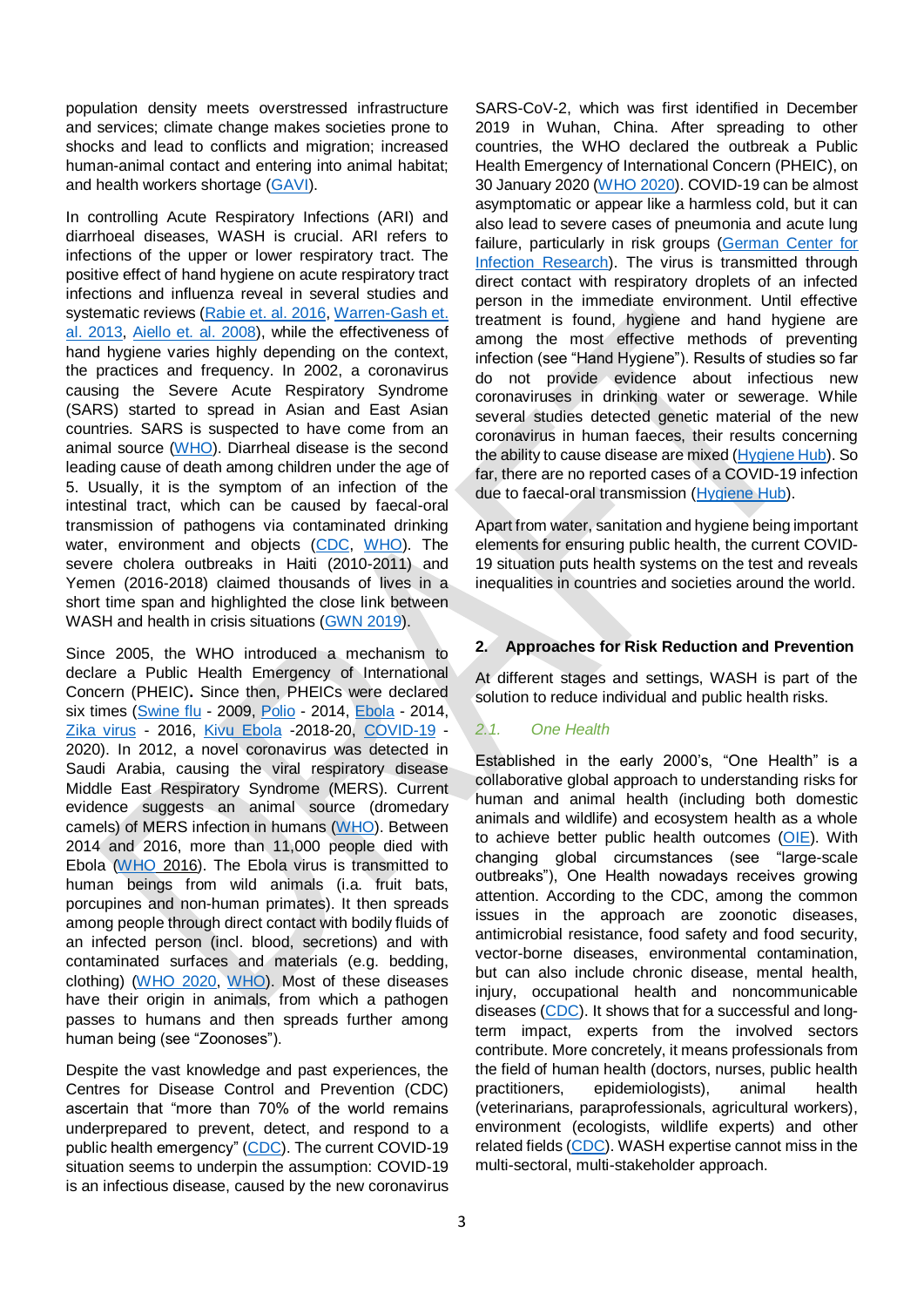population density meets overstressed infrastructure and services; climate change makes societies prone to shocks and lead to conflicts and migration; increased human-animal contact and entering into animal habitat; and health workers shortage [\(GAVI\)](https://www.gavi.org/vaccineswork/5-reasons-why-pandemics-like-covid-19-are-becoming-more-likely).

In controlling Acute Respiratory Infections (ARI) and diarrhoeal diseases, WASH is crucial. ARI refers to infections of the upper or lower respiratory tract. The positive effect of hand hygiene on acute respiratory tract infections and influenza reveal in several studies and systematic reviews [\(Rabie et. al. 2016,](https://pubmed.ncbi.nlm.nih.gov/16553905/) [Warren-Gash et.](https://www.ncbi.nlm.nih.gov/pmc/articles/PMC5781206/)  [al. 2013,](https://www.ncbi.nlm.nih.gov/pmc/articles/PMC5781206/) [Aiello et. al. 2008\)](https://ajph.aphapublications.org/doi/abs/10.2105/AJPH.2007.124610), while the effectiveness of hand hygiene varies highly depending on the context, the practices and frequency. In 2002, a coronavirus causing the Severe Acute Respiratory Syndrome (SARS) started to spread in Asian and East Asian countries. SARS is suspected to have come from an animal source [\(WHO\)](https://www.who.int/ith/diseases/sars/en/). Diarrheal disease is the second leading cause of death among children under the age of 5. Usually, it is the symptom of an infection of the intestinal tract, which can be caused by faecal-oral transmission of pathogens via contaminated drinking water, environment and objects [\(CDC,](https://www.cdc.gov/healthywater/global/diarrhea-burden.html) [WHO\)](https://www.who.int/news-room/fact-sheets/detail/diarrhoeal-disease). The severe cholera outbreaks in Haiti (2010-2011) and Yemen (2016-2018) claimed thousands of lives in a short time span and highlighted the close link between WASH and health in crisis situations [\(GWN 2019\)](https://www.washnet.de/wp-content/uploads/PositionspapierWASH_WEB_72dpi-1.pdf).

Since 2005, the WHO introduced a mechanism to declare a Public Health Emergency of International Concern (PHEIC)**.** Since then, PHEICs were declared six times [\(Swine flu](https://www.who.int/csr/disease/swineflu/en/) - 2009, [Polio](https://www.who.int/mediacentre/news/statements/2014/polio-20140505/en/) - 2014, [Ebola](https://www.who.int/mediacentre/news/statements/2014/ebola-20140808/en/) - 2014, [Zika virus](https://www.who.int/news-room/detail/01-02-2016-who-statement-on-the-first-meeting-of-the-international-health-regulations-(2005)-(ihr-2005)-emergency-committee-on-zika-virus-and-observed-increase-in-neurological-disorders-and-neonatal-malformations) - 2016, [Kivu Ebola](https://www.who.int/news-room/detail/17-07-2019-ebola-outbreak-in-the-democratic-republic-of-the-congo-declared-a-public-health-emergency-of-international-concern) -2018-20, [COVID-19](https://www.who.int/who-documents-detail/covid-19-public-health-emergency-of-international-concern-(pheic)-global-research-and-innovation-forum) - 2020). In 2012, a novel coronavirus was detected in Saudi Arabia, causing the viral respiratory disease Middle East Respiratory Syndrome (MERS). Current evidence suggests an animal source (dromedary camels) of MERS infection in humans [\(WHO\)](https://apps.who.int/mediacentre/factsheets/mers-cov/en/index.html). Between 2014 and 2016, more than 11,000 people died with Ebola [\(WHO](https://apps.who.int/gho/data/view.ebola-sitrep.ebola-summary-20160511?lang=en) 2016). The Ebola virus is transmitted to human beings from wild animals (i.a. fruit bats, porcupines and non-human primates). It then spreads among people through direct contact with bodily fluids of an infected person (incl. blood, secretions) and with contaminated surfaces and materials (e.g. bedding, clothing) [\(WHO 2020,](https://www.who.int/news-room/fact-sheets/detail/ebola-virus-disease) [WHO\)](https://www.who.int/health-topics/ebola/#tab=tab_1). Most of these diseases have their origin in animals, from which a pathogen passes to humans and then spreads further among human being (see "Zoonoses").

Despite the vast knowledge and past experiences, the Centres for Disease Control and Prevention (CDC) ascertain that "more than 70% of the world remains underprepared to prevent, detect, and respond to a public health emergency" [\(CDC\)](https://www.cdc.gov/globalhealth/healthprotection/ghs/index.html). The current COVID-19 situation seems to underpin the assumption: COVID-19 is an infectious disease, caused by the new coronavirus

SARS-CoV-2, which was first identified in December 2019 in Wuhan, China. After spreading to other countries, the WHO declared the outbreak a Public Health Emergency of International Concern (PHEIC), on 30 January 2020 [\(WHO 2020\)](https://www.who.int/emergencies/diseases/novel-coronavirus-2019/events-as-they-happen). COVID-19 can be almost asymptomatic or appear like a harmless cold, but it can also lead to severe cases of pneumonia and acute lung failure, particularly in risk groups [\(German Center for](https://www.dzif.de/en/glossary/covid-19)  [Infection Research\)](https://www.dzif.de/en/glossary/covid-19). The virus is transmitted through direct contact with respiratory droplets of an infected person in the immediate environment. Until effective treatment is found, hygiene and hand hygiene are among the most effective methods of preventing infection (see "Hand Hygiene"). Results of studies so far do not provide evidence about infectious new coronaviruses in drinking water or sewerage. While several studies detected genetic material of the new coronavirus in human faeces, their results concerning the ability to cause disease are mixed [\(Hygiene Hub\)](https://resources.hygienehub.info/en/articles/3994855-has-sars-cov-2-been-detected-in-human-faeces). So far, there are no reported cases of a COVID-19 infection due to faecal-oral transmission [\(Hygiene Hub\)](https://resources.hygienehub.info/en/articles/3983082-summary-report-on-covid-19-transmission-via-faecal-oral-routes).

Apart from water, sanitation and hygiene being important elements for ensuring public health, the current COVID-19 situation puts health systems on the test and reveals inequalities in countries and societies around the world.

## **2. Approaches for Risk Reduction and Prevention**

At different stages and settings, WASH is part of the solution to reduce individual and public health risks.

# *2.1. One Health*

Established in the early 2000's, "One Health" is a collaborative global approach to understanding risks for human and animal health (including both domestic animals and wildlife) and ecosystem health as a whole to achieve better public health outcomes [\(OIE\)](https://www.oie.int/en/for-the-media/onehealth/). With changing global circumstances (see "large-scale outbreaks"), One Health nowadays receives growing attention. According to the CDC, among the common issues in the approach are zoonotic diseases, antimicrobial resistance, food safety and food security, vector-borne diseases, environmental contamination, but can also include chronic disease, mental health, injury, occupational health and noncommunicable diseases [\(CDC\)](https://www.cdc.gov/onehealth/basics/index.html). It shows that for a successful and longterm impact, experts from the involved sectors contribute. More concretely, it means professionals from the field of human health (doctors, nurses, public health practitioners, epidemiologists), animal health (veterinarians, paraprofessionals, agricultural workers), environment (ecologists, wildlife experts) and other related fields [\(CDC\)](https://www.cdc.gov/onehealth/basics/index.html). WASH expertise cannot miss in the multi-sectoral, multi-stakeholder approach.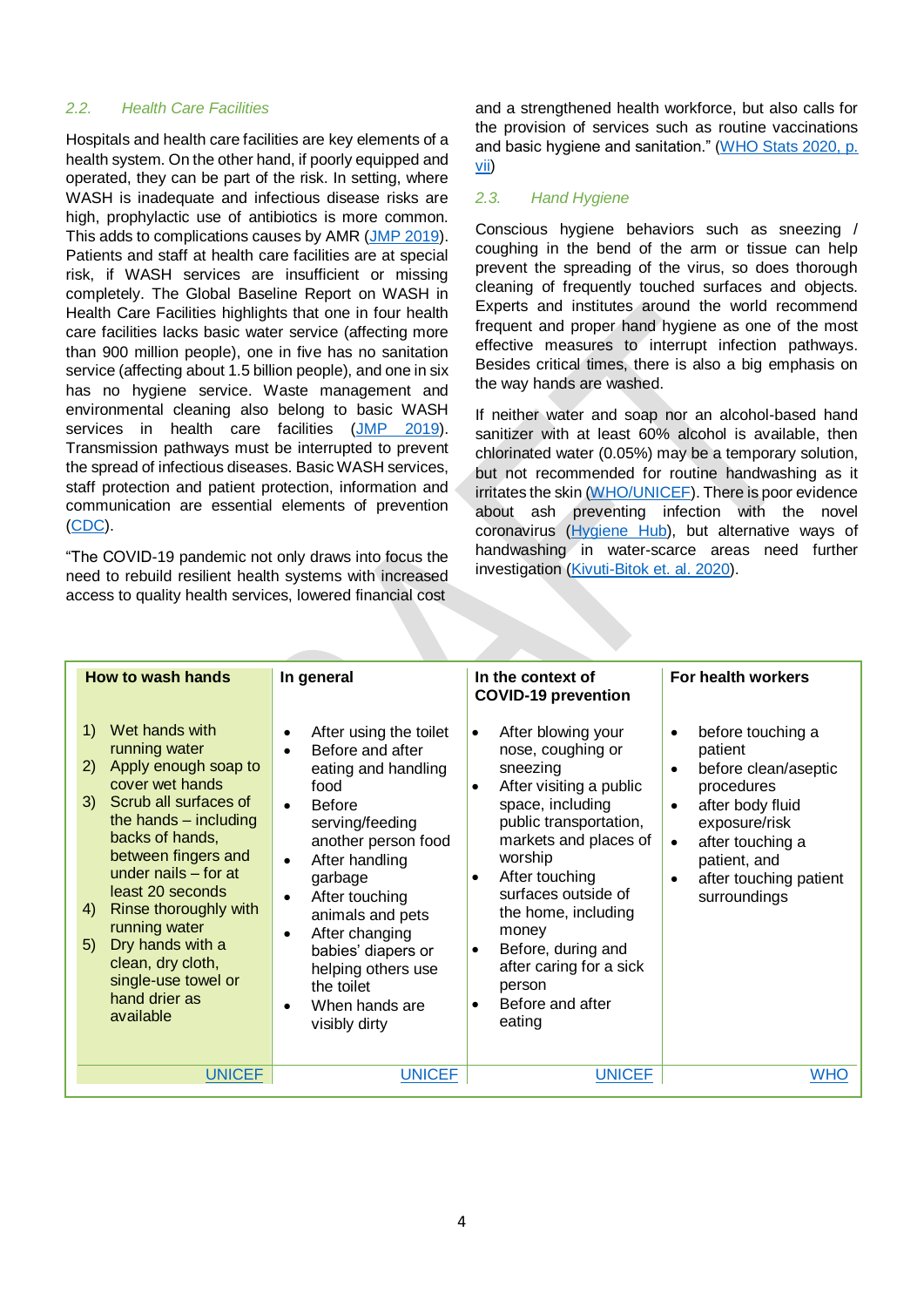#### *2.2. Health Care Facilities*

Hospitals and health care facilities are key elements of a health system. On the other hand, if poorly equipped and operated, they can be part of the risk. In setting, where WASH is inadequate and infectious disease risks are high, prophylactic use of antibiotics is more common. This adds to complications causes by AMR [\(JMP 2019\)](https://apps.who.int/iris/bitstream/handle/10665/311618/9789241515511-eng.pdf?ua=1). Patients and staff at health care facilities are at special risk, if WASH services are insufficient or missing completely. The Global Baseline Report on WASH in Health Care Facilities highlights that one in four health care facilities lacks basic water service (affecting more than 900 million people), one in five has no sanitation service (affecting about 1.5 billion people), and one in six has no hygiene service. Waste management and environmental cleaning also belong to basic WASH services in health care facilities [\(JMP 2019\)](https://washdata.org/sites/default/files/documents/reports/2019-04/JMP-2019-wash-in-hcf.pdf). Transmission pathways must be interrupted to prevent the spread of infectious diseases. Basic WASH services, staff protection and patient protection, information and communication are essential elements of prevention [\(CDC\)](https://www.cdc.gov/coronavirus/2019-ncov/hcp/steps-to-prepare.html?CDC_AA_refVal=https%3A%2F%2Fwww.cdc.gov%2Fcoronavirus%2F2019-ncov%2Fhealthcare-facilities%2Fsteps-to-prepare.html).

"The COVID-19 pandemic not only draws into focus the need to rebuild resilient health systems with increased access to quality health services, lowered financial cost

and a strengthened health workforce, but also calls for the provision of services such as routine vaccinations and basic hygiene and sanitation." [\(WHO Stats 2020, p.](https://www.who.int/gho/publications/world_health_statistics/2020/en/)  [vii\)](https://www.who.int/gho/publications/world_health_statistics/2020/en/)

## *2.3. Hand Hygiene*

Conscious hygiene behaviors such as sneezing / coughing in the bend of the arm or tissue can help prevent the spreading of the virus, so does thorough cleaning of frequently touched surfaces and objects. Experts and institutes around the world recommend frequent and proper hand hygiene as one of the most effective measures to interrupt infection pathways. Besides critical times, there is also a big emphasis on the way hands are washed.

If neither water and soap nor an alcohol-based hand sanitizer with at least 60% alcohol is available, then chlorinated water (0.05%) may be a temporary solution, but not recommended for routine handwashing as it irritates the skin [\(WHO/UNICEF\)](https://www.who.int/publications-detail/water-sanitation-hygiene-and-waste-management-for-covid-19). There is poor evidence about ash preventing infection with the novel coronavirus [\(Hygiene Hub\)](https://resources.hygienehub.info/en/articles/3915810-can-ash-be-used-for-handwashing), but alternative ways of handwashing in water-scarce areas need further investigation [\(Kivuti-Bitok et. al. 2020\)](https://www.ncbi.nlm.nih.gov/research/coronavirus/publication/32578477).

| <b>How to wash hands</b>                                                                                                                                                                                                                                                                                                                                                                               | In general                                                                                                                                                                                                                                                                                                                                                                                                        | In the context of<br><b>COVID-19 prevention</b>                                                                                                                                                                                                                                                                                                                                                     | For health workers                                                                                                                                                                                                                        |
|--------------------------------------------------------------------------------------------------------------------------------------------------------------------------------------------------------------------------------------------------------------------------------------------------------------------------------------------------------------------------------------------------------|-------------------------------------------------------------------------------------------------------------------------------------------------------------------------------------------------------------------------------------------------------------------------------------------------------------------------------------------------------------------------------------------------------------------|-----------------------------------------------------------------------------------------------------------------------------------------------------------------------------------------------------------------------------------------------------------------------------------------------------------------------------------------------------------------------------------------------------|-------------------------------------------------------------------------------------------------------------------------------------------------------------------------------------------------------------------------------------------|
| Wet hands with<br>1)<br>running water<br>Apply enough soap to<br><sup>2</sup><br>cover wet hands<br>Scrub all surfaces of<br>3)<br>the hands $-$ including<br>backs of hands,<br>between fingers and<br>under nails $-$ for at<br>least 20 seconds<br>Rinse thoroughly with<br>4)<br>running water<br>Dry hands with a<br>5)<br>clean, dry cloth,<br>single-use towel or<br>hand drier as<br>available | After using the toilet<br>$\bullet$<br>Before and after<br>$\bullet$<br>eating and handling<br>food<br><b>Before</b><br>$\bullet$<br>serving/feeding<br>another person food<br>After handling<br>$\bullet$<br>garbage<br>After touching<br>$\bullet$<br>animals and pets<br>After changing<br>$\bullet$<br>babies' diapers or<br>helping others use<br>the toilet<br>When hands are<br>$\bullet$<br>visibly dirty | After blowing your<br>$\bullet$<br>nose, coughing or<br>sneezing<br>After visiting a public<br>$\bullet$<br>space, including<br>public transportation,<br>markets and places of<br>worship<br>After touching<br>$\bullet$<br>surfaces outside of<br>the home, including<br>money<br>Before, during and<br>$\bullet$<br>after caring for a sick<br>person<br>Before and after<br>$\bullet$<br>eating | before touching a<br>$\bullet$<br>patient<br>before clean/aseptic<br>procedures<br>after body fluid<br>$\bullet$<br>exposure/risk<br>after touching a<br>$\bullet$<br>patient, and<br>after touching patient<br>$\bullet$<br>surroundings |
| <b>UNICEF</b>                                                                                                                                                                                                                                                                                                                                                                                          | <b>UNICEF</b>                                                                                                                                                                                                                                                                                                                                                                                                     | <b>UNICEF</b>                                                                                                                                                                                                                                                                                                                                                                                       | <b>WHO</b>                                                                                                                                                                                                                                |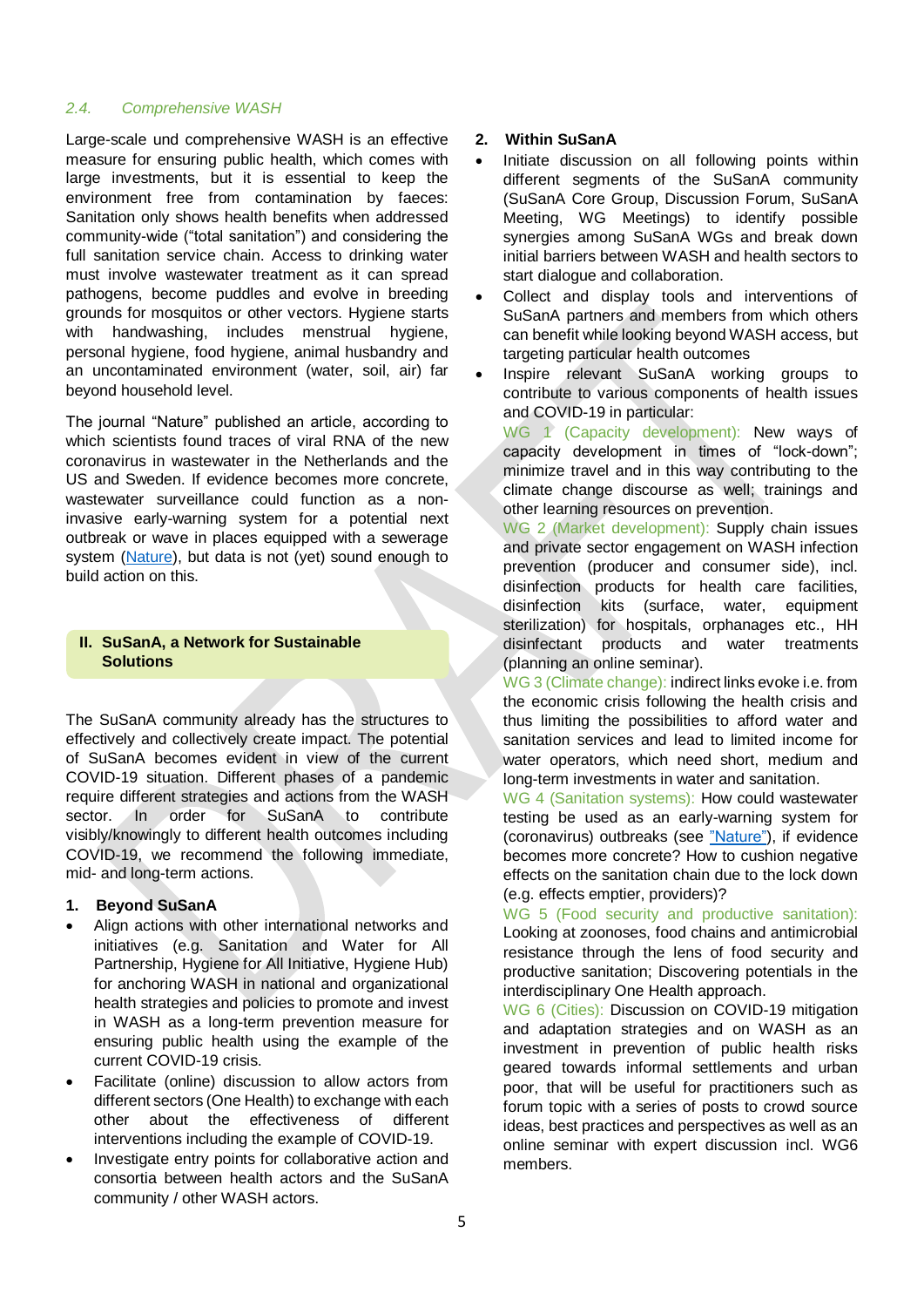#### *2.4. Comprehensive WASH*

Large-scale und comprehensive WASH is an effective measure for ensuring public health, which comes with large investments, but it is essential to keep the environment free from contamination by faeces: Sanitation only shows health benefits when addressed community-wide ("total sanitation") and considering the full sanitation service chain. Access to drinking water must involve wastewater treatment as it can spread pathogens, become puddles and evolve in breeding grounds for mosquitos or other vectors. Hygiene starts with handwashing, includes menstrual hygiene, personal hygiene, food hygiene, animal husbandry and an uncontaminated environment (water, soil, air) far beyond household level.

The journal "Nature" published an article, according to which scientists found traces of viral RNA of the new coronavirus in wastewater in the Netherlands and the US and Sweden. If evidence becomes more concrete, wastewater surveillance could function as a noninvasive early-warning system for a potential next outbreak or wave in places equipped with a sewerage system [\(Nature\)](https://www.nature.com/articles/d41586-020-00973-x?fbclid=IwAR3kWXXusOb0z81IA7wUujOF9n7MlrB8sVdYu6qYCgzp_VFj_-eTAHIzyPI), but data is not (yet) sound enough to build action on this.

## **II. SuSanA, a Network for Sustainable Solutions**

The SuSanA community already has the structures to effectively and collectively create impact. The potential of SuSanA becomes evident in view of the current COVID-19 situation. Different phases of a pandemic require different strategies and actions from the WASH sector. In order for SuSanA to contribute visibly/knowingly to different health outcomes including COVID-19, we recommend the following immediate, mid- and long-term actions.

## **1. Beyond SuSanA**

- Align actions with other international networks and initiatives (e.g. Sanitation and Water for All Partnership, Hygiene for All Initiative, Hygiene Hub) for anchoring WASH in national and organizational health strategies and policies to promote and invest in WASH as a long-term prevention measure for ensuring public health using the example of the current COVID-19 crisis.
- Facilitate (online) discussion to allow actors from different sectors (One Health) to exchange with each other about the effectiveness of different interventions including the example of COVID-19.
- Investigate entry points for collaborative action and consortia between health actors and the SuSanA community / other WASH actors.

#### **2. Within SuSanA**

- Initiate discussion on all following points within different segments of the SuSanA community (SuSanA Core Group, Discussion Forum, SuSanA Meeting, WG Meetings) to identify possible synergies among SuSanA WGs and break down initial barriers between WASH and health sectors to start dialogue and collaboration.
- Collect and display tools and interventions of SuSanA partners and members from which others can benefit while looking beyond WASH access, but targeting particular health outcomes
- Inspire relevant SuSanA working groups to contribute to various components of health issues and COVID-19 in particular:

WG 1 (Capacity development): New ways of capacity development in times of "lock-down"; minimize travel and in this way contributing to the climate change discourse as well; trainings and other learning resources on prevention.

WG 2 (Market development): Supply chain issues and private sector engagement on WASH infection prevention (producer and consumer side), incl. disinfection products for health care facilities, disinfection kits (surface, water, equipment sterilization) for hospitals, orphanages etc., HH disinfectant products and water treatments (planning an online seminar).

WG 3 (Climate change): indirect links evoke i.e. from the economic crisis following the health crisis and thus limiting the possibilities to afford water and sanitation services and lead to limited income for water operators, which need short, medium and long-term investments in water and sanitation.

WG 4 (Sanitation systems): How could wastewater testing be used as an early-warning system for (coronavirus) outbreaks (see ["Nature"\)](https://www.nature.com/articles/d41586-020-00973-x?fbclid=IwAR3kWXXusOb0z81IA7wUujOF9n7MlrB8sVdYu6qYCgzp_VFj_-eTAHIzyPI), if evidence becomes more concrete? How to cushion negative effects on the sanitation chain due to the lock down (e.g. effects emptier, providers)?

WG 5 (Food security and productive sanitation): Looking at zoonoses, food chains and antimicrobial resistance through the lens of food security and productive sanitation; Discovering potentials in the interdisciplinary One Health approach.

WG 6 (Cities): Discussion on COVID-19 mitigation and adaptation strategies and on WASH as an investment in prevention of public health risks geared towards informal settlements and urban poor, that will be useful for practitioners such as forum topic with a series of posts to crowd source ideas, best practices and perspectives as well as an online seminar with expert discussion incl. WG6 members.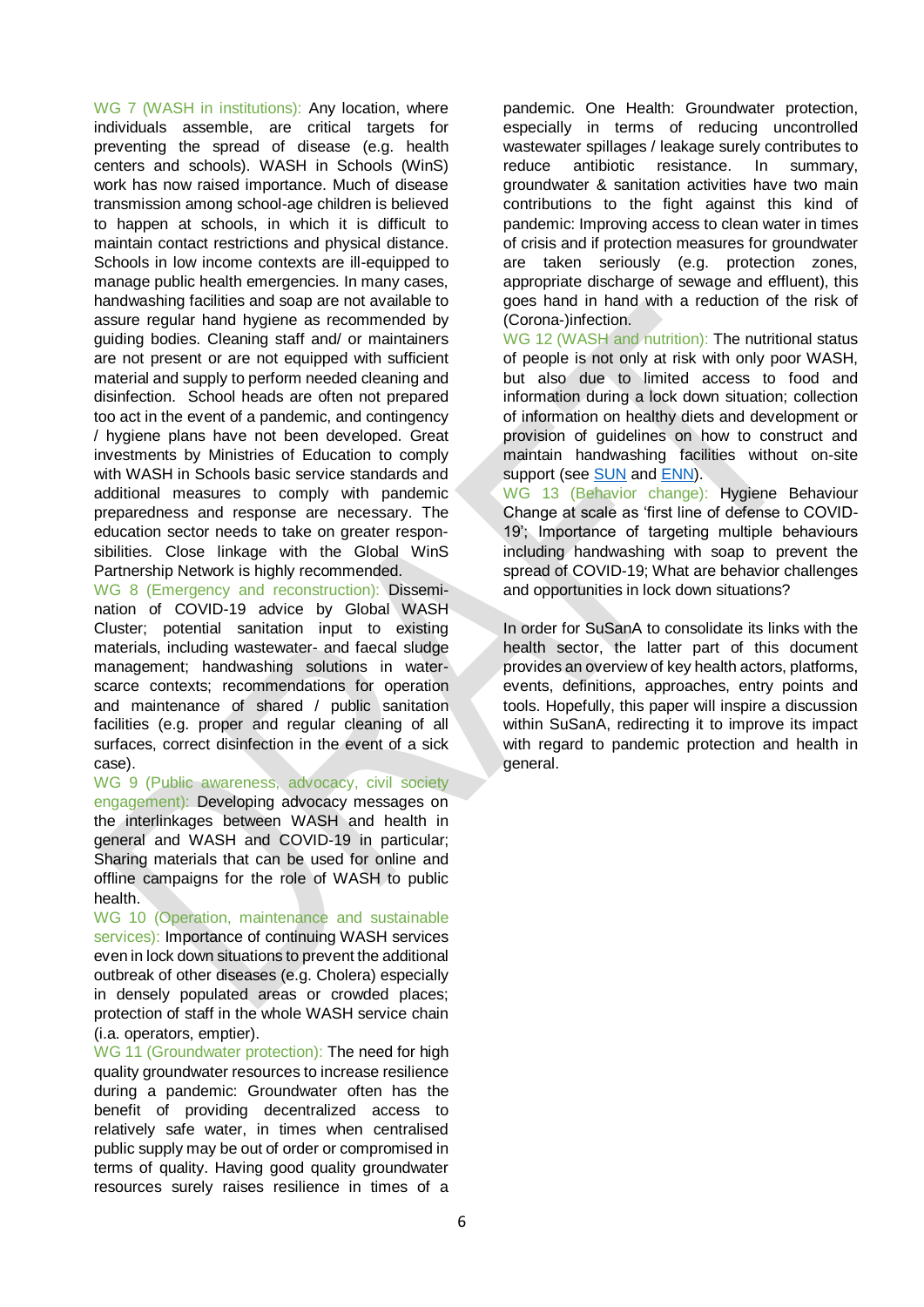WG 7 (WASH in institutions): Any location, where individuals assemble, are critical targets for preventing the spread of disease (e.g. health centers and schools). WASH in Schools (WinS) work has now raised importance. Much of disease transmission among school-age children is believed to happen at schools, in which it is difficult to maintain contact restrictions and physical distance. Schools in low income contexts are ill-equipped to manage public health emergencies. In many cases, handwashing facilities and soap are not available to assure regular hand hygiene as recommended by guiding bodies. Cleaning staff and/ or maintainers are not present or are not equipped with sufficient material and supply to perform needed cleaning and disinfection. School heads are often not prepared too act in the event of a pandemic, and contingency / hygiene plans have not been developed. Great investments by Ministries of Education to comply with WASH in Schools basic service standards and additional measures to comply with pandemic preparedness and response are necessary. The education sector needs to take on greater responsibilities. Close linkage with the Global WinS Partnership Network is highly recommended.

WG 8 (Emergency and reconstruction): Dissemination of COVID-19 advice by Global WASH Cluster; potential sanitation input to existing materials, including wastewater- and faecal sludge management; handwashing solutions in waterscarce contexts; recommendations for operation and maintenance of shared / public sanitation facilities (e.g. proper and regular cleaning of all surfaces, correct disinfection in the event of a sick case).

WG 9 (Public awareness, advocacy, civil society engagement): Developing advocacy messages on the interlinkages between WASH and health in general and WASH and COVID-19 in particular; Sharing materials that can be used for online and offline campaigns for the role of WASH to public health.

WG 10 (Operation, maintenance and sustainable services): Importance of continuing WASH services even in lock down situations to prevent the additional outbreak of other diseases (e.g. Cholera) especially in densely populated areas or crowded places; protection of staff in the whole WASH service chain (i.a. operators, emptier).

WG 11 (Groundwater protection): The need for high quality groundwater resources to increase resilience during a pandemic: Groundwater often has the benefit of providing decentralized access to relatively safe water, in times when centralised public supply may be out of order or compromised in terms of quality. Having good quality groundwater resources surely raises resilience in times of a

pandemic. One Health: Groundwater protection, especially in terms of reducing uncontrolled wastewater spillages / leakage surely contributes to reduce antibiotic resistance. In summary, groundwater & sanitation activities have two main contributions to the fight against this kind of pandemic: Improving access to clean water in times of crisis and if protection measures for groundwater are taken seriously (e.g. protection zones, appropriate discharge of sewage and effluent), this goes hand in hand with a reduction of the risk of (Corona-)infection.

WG 12 (WASH and nutrition): The nutritional status of people is not only at risk with only poor WASH, but also due to limited access to food and information during a lock down situation; collection of information on healthy diets and development or provision of guidelines on how to construct and maintain handwashing facilities without on-site support (see [SUN](https://scalingupnutrition.org/covid19/) and [ENN\)](https://www.ennonline.net/covid19andnutritionprogramming).

WG 13 (Behavior change): Hygiene Behaviour Change at scale as 'first line of defense to COVID-19'; Importance of targeting multiple behaviours including handwashing with soap to prevent the spread of COVID-19; What are behavior challenges and opportunities in lock down situations?

In order for SuSanA to consolidate its links with the health sector, the latter part of this document provides an overview of key health actors, platforms, events, definitions, approaches, entry points and tools. Hopefully, this paper will inspire a discussion within SuSanA, redirecting it to improve its impact with regard to pandemic protection and health in general.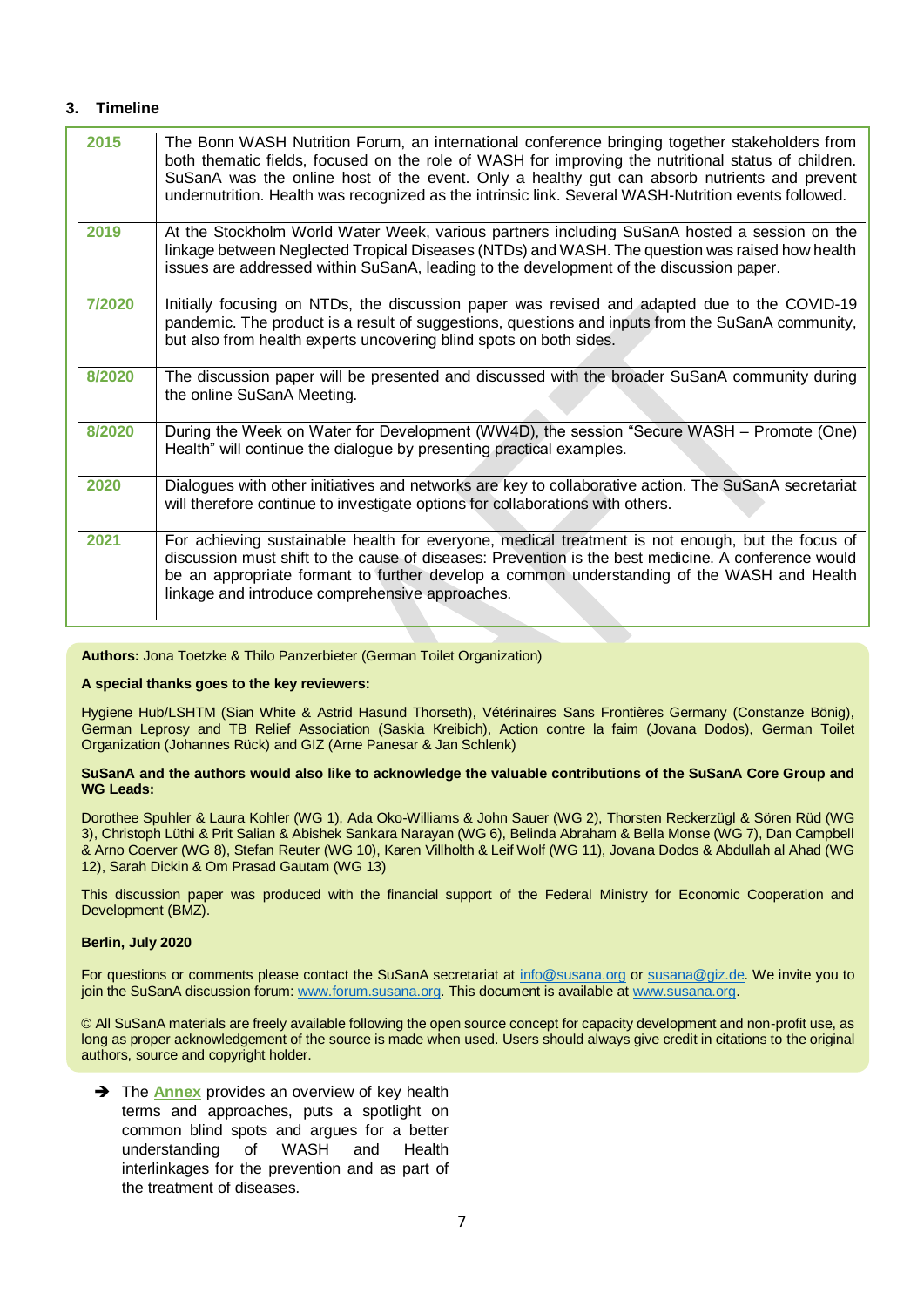#### **3. Timeline**

| 2015   | The Bonn WASH Nutrition Forum, an international conference bringing together stakeholders from<br>both thematic fields, focused on the role of WASH for improving the nutritional status of children.<br>SuSanA was the online host of the event. Only a healthy gut can absorb nutrients and prevent<br>undernutrition. Health was recognized as the intrinsic link. Several WASH-Nutrition events followed. |
|--------|---------------------------------------------------------------------------------------------------------------------------------------------------------------------------------------------------------------------------------------------------------------------------------------------------------------------------------------------------------------------------------------------------------------|
| 2019   | At the Stockholm World Water Week, various partners including SuSanA hosted a session on the<br>linkage between Neglected Tropical Diseases (NTDs) and WASH. The question was raised how health<br>issues are addressed within SuSanA, leading to the development of the discussion paper.                                                                                                                    |
| 7/2020 | Initially focusing on NTDs, the discussion paper was revised and adapted due to the COVID-19<br>pandemic. The product is a result of suggestions, questions and inputs from the SuSanA community,<br>but also from health experts uncovering blind spots on both sides.                                                                                                                                       |
| 8/2020 | The discussion paper will be presented and discussed with the broader SuSanA community during<br>the online SuSanA Meeting.                                                                                                                                                                                                                                                                                   |
| 8/2020 | During the Week on Water for Development (WW4D), the session "Secure WASH - Promote (One)<br>Health" will continue the dialogue by presenting practical examples.                                                                                                                                                                                                                                             |
| 2020   | Dialogues with other initiatives and networks are key to collaborative action. The SuSanA secretariat<br>will therefore continue to investigate options for collaborations with others.                                                                                                                                                                                                                       |
| 2021   | For achieving sustainable health for everyone, medical treatment is not enough, but the focus of<br>discussion must shift to the cause of diseases: Prevention is the best medicine. A conference would<br>be an appropriate formant to further develop a common understanding of the WASH and Health<br>linkage and introduce comprehensive approaches.                                                      |

**Authors:** Jona Toetzke & Thilo Panzerbieter (German Toilet Organization)

#### **A special thanks goes to the key reviewers:**

Hygiene Hub/LSHTM (Sian White & Astrid Hasund Thorseth), Vétérinaires Sans Frontières Germany (Constanze Bönig), German Leprosy and TB Relief Association (Saskia Kreibich), Action contre la faim (Jovana Dodos), German Toilet Organization (Johannes Rück) and GIZ (Arne Panesar & Jan Schlenk)

#### **SuSanA and the authors would also like to acknowledge the valuable contributions of the SuSanA Core Group and WG Leads:**

Dorothee Spuhler & Laura Kohler (WG 1), Ada Oko-Williams & John Sauer (WG 2), Thorsten Reckerzügl & Sören Rüd (WG 3), Christoph Lüthi & Prit Salian & Abishek Sankara Narayan (WG 6), Belinda Abraham & Bella Monse (WG 7), Dan Campbell & Arno Coerver (WG 8), Stefan Reuter (WG 10), Karen Villholth & Leif Wolf (WG 11), Jovana Dodos & Abdullah al Ahad (WG 12), Sarah Dickin & Om Prasad Gautam (WG 13)

This discussion paper was produced with the financial support of the Federal Ministry for Economic Cooperation and Development (BMZ).

#### **Berlin, July 2020**

For questions or comments please contact the SuSanA secretariat at [info@susana.org](mailto:info@susana.org) or [susana@giz.de.](mailto:susana@giz.de) We invite you to join the SuSanA discussion forum: [www.forum.susana.org.](http://www.forum.susana.org/) This document is available a[t www.susana.org.](http://www.susana.org/)

© All SuSanA materials are freely available following the open source concept for capacity development and non-profit use, as long as proper acknowledgement of the source is made when used. Users should always give credit in citations to the original authors, source and copyright holder.

**→** The **Annex** provides an overview of key health terms and approaches, puts a spotlight on common blind spots and argues for a better understanding of WASH and Health interlinkages for the prevention and as part of the treatment of diseases.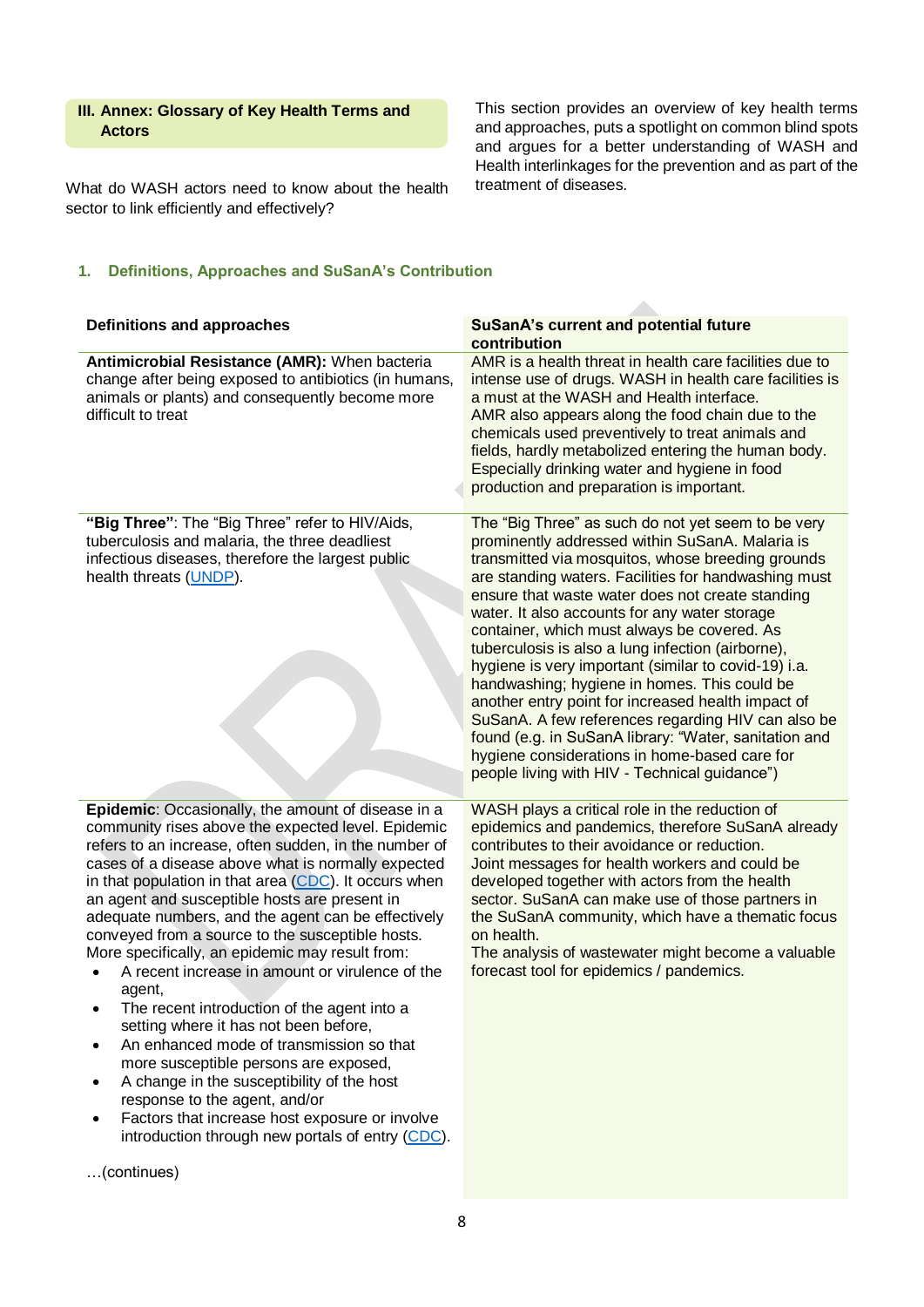## **III. Annex: Glossary of Key Health Terms and Actors**

What do WASH actors need to know about the health sector to link efficiently and effectively?

This section provides an overview of key health terms and approaches, puts a spotlight on common blind spots and argues for a better understanding of WASH and Health interlinkages for the prevention and as part of the treatment of diseases.

## **1. Definitions, Approaches and SuSanA's Contribution**

| <b>Definitions and approaches</b>                                                                                                                                                                                                                                                                                                                                                                                                                                                                                                                                                                                                                                                                                                                                                                                                                                                                                                                 | <b>SuSanA's current and potential future</b><br>contribution                                                                                                                                                                                                                                                                                                                                                                                                                                                                                                                                                                                                                                                                                                                                               |
|---------------------------------------------------------------------------------------------------------------------------------------------------------------------------------------------------------------------------------------------------------------------------------------------------------------------------------------------------------------------------------------------------------------------------------------------------------------------------------------------------------------------------------------------------------------------------------------------------------------------------------------------------------------------------------------------------------------------------------------------------------------------------------------------------------------------------------------------------------------------------------------------------------------------------------------------------|------------------------------------------------------------------------------------------------------------------------------------------------------------------------------------------------------------------------------------------------------------------------------------------------------------------------------------------------------------------------------------------------------------------------------------------------------------------------------------------------------------------------------------------------------------------------------------------------------------------------------------------------------------------------------------------------------------------------------------------------------------------------------------------------------------|
| Antimicrobial Resistance (AMR): When bacteria<br>change after being exposed to antibiotics (in humans,<br>animals or plants) and consequently become more<br>difficult to treat                                                                                                                                                                                                                                                                                                                                                                                                                                                                                                                                                                                                                                                                                                                                                                   | AMR is a health threat in health care facilities due to<br>intense use of drugs. WASH in health care facilities is<br>a must at the WASH and Health interface.<br>AMR also appears along the food chain due to the<br>chemicals used preventively to treat animals and<br>fields, hardly metabolized entering the human body.<br>Especially drinking water and hygiene in food<br>production and preparation is important.                                                                                                                                                                                                                                                                                                                                                                                 |
| "Big Three": The "Big Three" refer to HIV/Aids,<br>tuberculosis and malaria, the three deadliest<br>infectious diseases, therefore the largest public<br>health threats (UNDP).                                                                                                                                                                                                                                                                                                                                                                                                                                                                                                                                                                                                                                                                                                                                                                   | The "Big Three" as such do not yet seem to be very<br>prominently addressed within SuSanA. Malaria is<br>transmitted via mosquitos, whose breeding grounds<br>are standing waters. Facilities for handwashing must<br>ensure that waste water does not create standing<br>water. It also accounts for any water storage<br>container, which must always be covered. As<br>tuberculosis is also a lung infection (airborne),<br>hygiene is very important (similar to covid-19) i.a.<br>handwashing; hygiene in homes. This could be<br>another entry point for increased health impact of<br>SuSanA. A few references regarding HIV can also be<br>found (e.g. in SuSanA library: "Water, sanitation and<br>hygiene considerations in home-based care for<br>people living with HIV - Technical guidance") |
| Epidemic: Occasionally, the amount of disease in a<br>community rises above the expected level. Epidemic<br>refers to an increase, often sudden, in the number of<br>cases of a disease above what is normally expected<br>in that population in that area (CDC). It occurs when<br>an agent and susceptible hosts are present in<br>adequate numbers, and the agent can be effectively<br>conveyed from a source to the susceptible hosts.<br>More specifically, an epidemic may result from:<br>A recent increase in amount or virulence of the<br>agent,<br>The recent introduction of the agent into a<br>setting where it has not been before,<br>An enhanced mode of transmission so that<br>more susceptible persons are exposed,<br>A change in the susceptibility of the host<br>٠<br>response to the agent, and/or<br>Factors that increase host exposure or involve<br>introduction through new portals of entry (CDC).<br>(continues) | WASH plays a critical role in the reduction of<br>epidemics and pandemics, therefore SuSanA already<br>contributes to their avoidance or reduction.<br>Joint messages for health workers and could be<br>developed together with actors from the health<br>sector. SuSanA can make use of those partners in<br>the SuSanA community, which have a thematic focus<br>on health.<br>The analysis of wastewater might become a valuable<br>forecast tool for epidemics / pandemics.                                                                                                                                                                                                                                                                                                                           |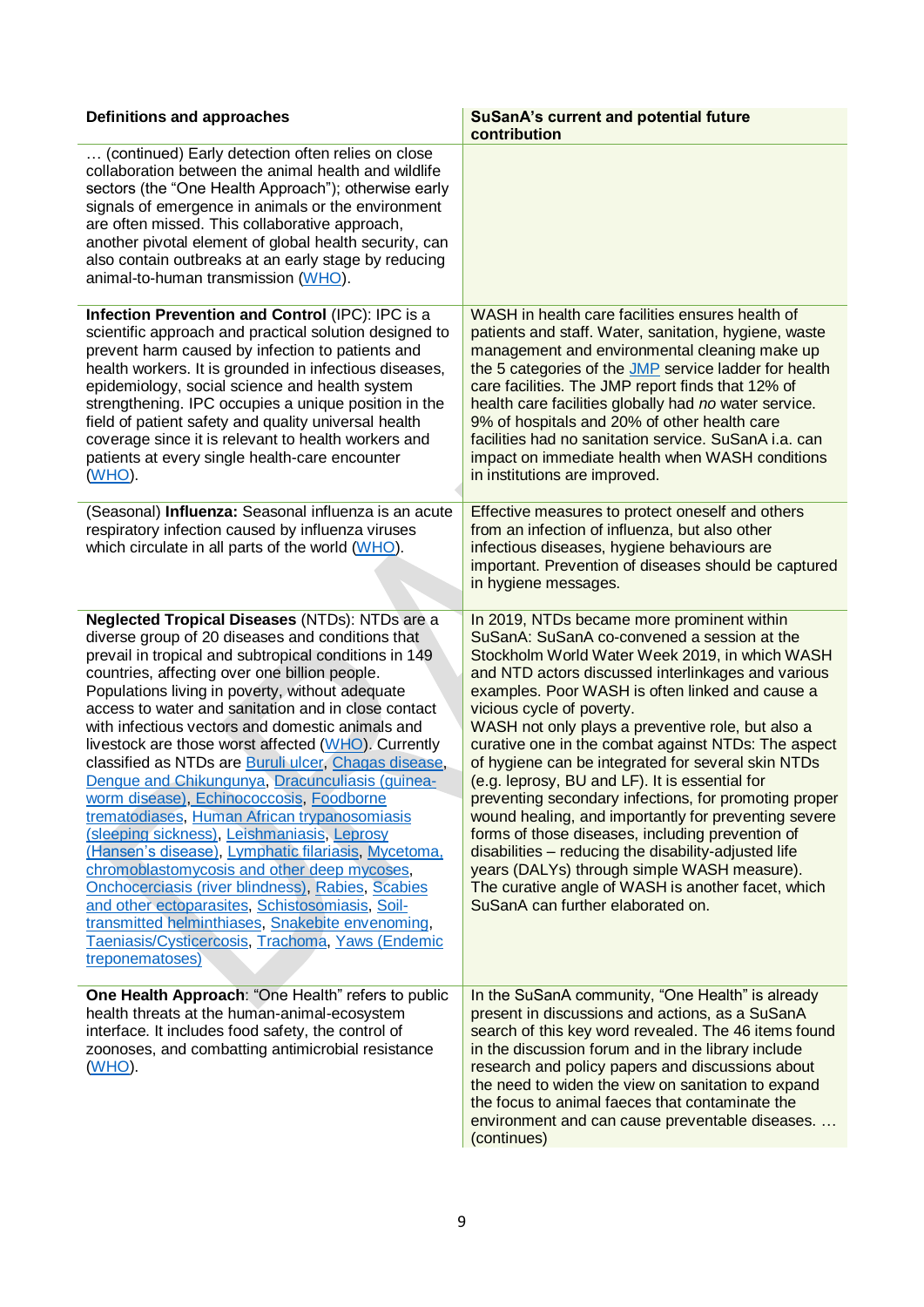| <b>Definitions and approaches</b>                                                                                                                                                                                                                                                                                                                                                                                                                                                                                                                                                                                                                                                                                                                                                                                                                                                                                                                                                                                                       | <b>SuSanA's current and potential future</b><br>contribution                                                                                                                                                                                                                                                                                                                                                                                                                                                                                                                                                                                                                                                                                                                                                                                                                 |
|-----------------------------------------------------------------------------------------------------------------------------------------------------------------------------------------------------------------------------------------------------------------------------------------------------------------------------------------------------------------------------------------------------------------------------------------------------------------------------------------------------------------------------------------------------------------------------------------------------------------------------------------------------------------------------------------------------------------------------------------------------------------------------------------------------------------------------------------------------------------------------------------------------------------------------------------------------------------------------------------------------------------------------------------|------------------------------------------------------------------------------------------------------------------------------------------------------------------------------------------------------------------------------------------------------------------------------------------------------------------------------------------------------------------------------------------------------------------------------------------------------------------------------------------------------------------------------------------------------------------------------------------------------------------------------------------------------------------------------------------------------------------------------------------------------------------------------------------------------------------------------------------------------------------------------|
| (continued) Early detection often relies on close<br>collaboration between the animal health and wildlife<br>sectors (the "One Health Approach"); otherwise early<br>signals of emergence in animals or the environment<br>are often missed. This collaborative approach,<br>another pivotal element of global health security, can<br>also contain outbreaks at an early stage by reducing<br>animal-to-human transmission (WHO).                                                                                                                                                                                                                                                                                                                                                                                                                                                                                                                                                                                                      |                                                                                                                                                                                                                                                                                                                                                                                                                                                                                                                                                                                                                                                                                                                                                                                                                                                                              |
| Infection Prevention and Control (IPC): IPC is a<br>scientific approach and practical solution designed to<br>prevent harm caused by infection to patients and<br>health workers. It is grounded in infectious diseases,<br>epidemiology, social science and health system<br>strengthening. IPC occupies a unique position in the<br>field of patient safety and quality universal health<br>coverage since it is relevant to health workers and<br>patients at every single health-care encounter<br><u>(WHO).</u>                                                                                                                                                                                                                                                                                                                                                                                                                                                                                                                    | WASH in health care facilities ensures health of<br>patients and staff. Water, sanitation, hygiene, waste<br>management and environmental cleaning make up<br>the 5 categories of the JMP service ladder for health<br>care facilities. The JMP report finds that 12% of<br>health care facilities globally had no water service.<br>9% of hospitals and 20% of other health care<br>facilities had no sanitation service. SuSanA i.a. can<br>impact on immediate health when WASH conditions<br>in institutions are improved.                                                                                                                                                                                                                                                                                                                                               |
| (Seasonal) Influenza: Seasonal influenza is an acute<br>respiratory infection caused by influenza viruses<br>which circulate in all parts of the world (WHO).                                                                                                                                                                                                                                                                                                                                                                                                                                                                                                                                                                                                                                                                                                                                                                                                                                                                           | Effective measures to protect oneself and others<br>from an infection of influenza, but also other<br>infectious diseases, hygiene behaviours are<br>important. Prevention of diseases should be captured<br>in hygiene messages.                                                                                                                                                                                                                                                                                                                                                                                                                                                                                                                                                                                                                                            |
| Neglected Tropical Diseases (NTDs): NTDs are a<br>diverse group of 20 diseases and conditions that<br>prevail in tropical and subtropical conditions in 149<br>countries, affecting over one billion people.<br>Populations living in poverty, without adequate<br>access to water and sanitation and in close contact<br>with infectious vectors and domestic animals and<br>livestock are those worst affected (WHO). Currently<br>classified as NTDs are Buruli ulcer, Chagas disease,<br>Dengue and Chikungunya, Dracunculiasis (guinea-<br>worm disease), Echinococcosis, Foodborne<br>trematodiases, Human African trypanosomiasis<br>(sleeping sickness), Leishmaniasis, Leprosy<br>(Hansen's disease), Lymphatic filariasis, Mycetoma,<br>chromoblastomycosis and other deep mycoses,<br><b>Onchocerciasis (river blindness), Rabies, Scabies</b><br>and other ectoparasites, Schistosomiasis, Soil-<br>transmitted helminthiases, Snakebite envenoming,<br>Taeniasis/Cysticercosis, Trachoma, Yaws (Endemic<br>treponematoses) | In 2019, NTDs became more prominent within<br>SuSanA: SuSanA co-convened a session at the<br>Stockholm World Water Week 2019, in which WASH<br>and NTD actors discussed interlinkages and various<br>examples. Poor WASH is often linked and cause a<br>vicious cycle of poverty.<br>WASH not only plays a preventive role, but also a<br>curative one in the combat against NTDs: The aspect<br>of hygiene can be integrated for several skin NTDs<br>(e.g. leprosy, BU and LF). It is essential for<br>preventing secondary infections, for promoting proper<br>wound healing, and importantly for preventing severe<br>forms of those diseases, including prevention of<br>disabilities - reducing the disability-adjusted life<br>years (DALYs) through simple WASH measure).<br>The curative angle of WASH is another facet, which<br>SuSanA can further elaborated on. |
| One Health Approach: "One Health" refers to public<br>health threats at the human-animal-ecosystem<br>interface. It includes food safety, the control of<br>zoonoses, and combatting antimicrobial resistance<br><u>(WHO).</u>                                                                                                                                                                                                                                                                                                                                                                                                                                                                                                                                                                                                                                                                                                                                                                                                          | In the SuSanA community, "One Health" is already<br>present in discussions and actions, as a SuSanA<br>search of this key word revealed. The 46 items found<br>in the discussion forum and in the library include<br>research and policy papers and discussions about<br>the need to widen the view on sanitation to expand<br>the focus to animal faeces that contaminate the<br>environment and can cause preventable diseases.<br>(continues)                                                                                                                                                                                                                                                                                                                                                                                                                             |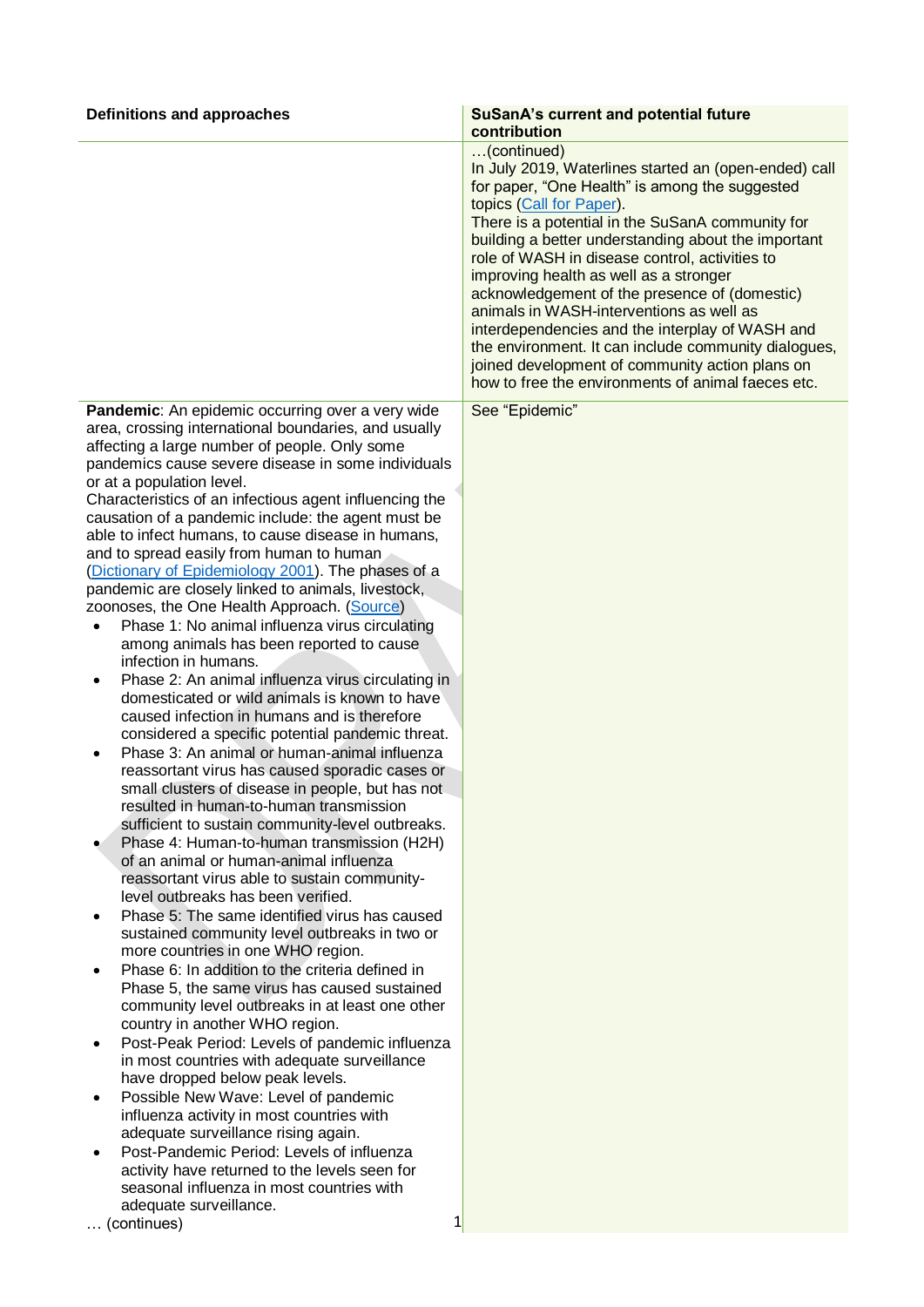| Definitions and approaches                                                                                                                                                                                                                                                                                                                                                                                                                                                                                                                                                                                                                                                                                                                                                                                                                                                                                                                                                                                                                                                                                                                                                                                                                                                                                                                                                                                                                                                                                           | <b>SuSanA's current and potential future</b><br>contribution                                                                                                                                                                                                                                                                                                                                                                                                                                                                                                                                                                                                               |
|----------------------------------------------------------------------------------------------------------------------------------------------------------------------------------------------------------------------------------------------------------------------------------------------------------------------------------------------------------------------------------------------------------------------------------------------------------------------------------------------------------------------------------------------------------------------------------------------------------------------------------------------------------------------------------------------------------------------------------------------------------------------------------------------------------------------------------------------------------------------------------------------------------------------------------------------------------------------------------------------------------------------------------------------------------------------------------------------------------------------------------------------------------------------------------------------------------------------------------------------------------------------------------------------------------------------------------------------------------------------------------------------------------------------------------------------------------------------------------------------------------------------|----------------------------------------------------------------------------------------------------------------------------------------------------------------------------------------------------------------------------------------------------------------------------------------------------------------------------------------------------------------------------------------------------------------------------------------------------------------------------------------------------------------------------------------------------------------------------------------------------------------------------------------------------------------------------|
|                                                                                                                                                                                                                                                                                                                                                                                                                                                                                                                                                                                                                                                                                                                                                                                                                                                                                                                                                                                                                                                                                                                                                                                                                                                                                                                                                                                                                                                                                                                      | (continued)<br>In July 2019, Waterlines started an (open-ended) call<br>for paper, "One Health" is among the suggested<br>topics (Call for Paper).<br>There is a potential in the SuSanA community for<br>building a better understanding about the important<br>role of WASH in disease control, activities to<br>improving health as well as a stronger<br>acknowledgement of the presence of (domestic)<br>animals in WASH-interventions as well as<br>interdependencies and the interplay of WASH and<br>the environment. It can include community dialogues,<br>joined development of community action plans on<br>how to free the environments of animal faeces etc. |
| Pandemic: An epidemic occurring over a very wide<br>area, crossing international boundaries, and usually<br>affecting a large number of people. Only some<br>pandemics cause severe disease in some individuals<br>or at a population level.<br>Characteristics of an infectious agent influencing the<br>causation of a pandemic include: the agent must be<br>able to infect humans, to cause disease in humans,<br>and to spread easily from human to human<br>(Dictionary of Epidemiology 2001). The phases of a<br>pandemic are closely linked to animals, livestock,<br>zoonoses, the One Health Approach. (Source)<br>Phase 1: No animal influenza virus circulating<br>$\bullet$<br>among animals has been reported to cause<br>infection in humans.<br>Phase 2: An animal influenza virus circulating in<br>٠<br>domesticated or wild animals is known to have<br>caused infection in humans and is therefore<br>considered a specific potential pandemic threat.<br>Phase 3: An animal or human-animal influenza<br>reassortant virus has caused sporadic cases or<br>small clusters of disease in people, but has not<br>resulted in human-to-human transmission<br>sufficient to sustain community-level outbreaks.<br>Phase 4: Human-to-human transmission (H2H)<br>of an animal or human-animal influenza<br>reassortant virus able to sustain community-<br>level outbreaks has been verified.<br>Phase 5: The same identified virus has caused<br>٠<br>sustained community level outbreaks in two or | See "Epidemic"                                                                                                                                                                                                                                                                                                                                                                                                                                                                                                                                                                                                                                                             |
| more countries in one WHO region.<br>Phase 6: In addition to the criteria defined in<br>Phase 5, the same virus has caused sustained<br>community level outbreaks in at least one other<br>country in another WHO region.<br>Post-Peak Period: Levels of pandemic influenza<br>٠<br>in most countries with adequate surveillance<br>have dropped below peak levels.<br>Possible New Wave: Level of pandemic<br>٠                                                                                                                                                                                                                                                                                                                                                                                                                                                                                                                                                                                                                                                                                                                                                                                                                                                                                                                                                                                                                                                                                                     |                                                                                                                                                                                                                                                                                                                                                                                                                                                                                                                                                                                                                                                                            |
| influenza activity in most countries with<br>adequate surveillance rising again.<br>Post-Pandemic Period: Levels of influenza<br>activity have returned to the levels seen for<br>seasonal influenza in most countries with<br>adequate surveillance.<br>1<br>(continues)<br>$\cdots$                                                                                                                                                                                                                                                                                                                                                                                                                                                                                                                                                                                                                                                                                                                                                                                                                                                                                                                                                                                                                                                                                                                                                                                                                                |                                                                                                                                                                                                                                                                                                                                                                                                                                                                                                                                                                                                                                                                            |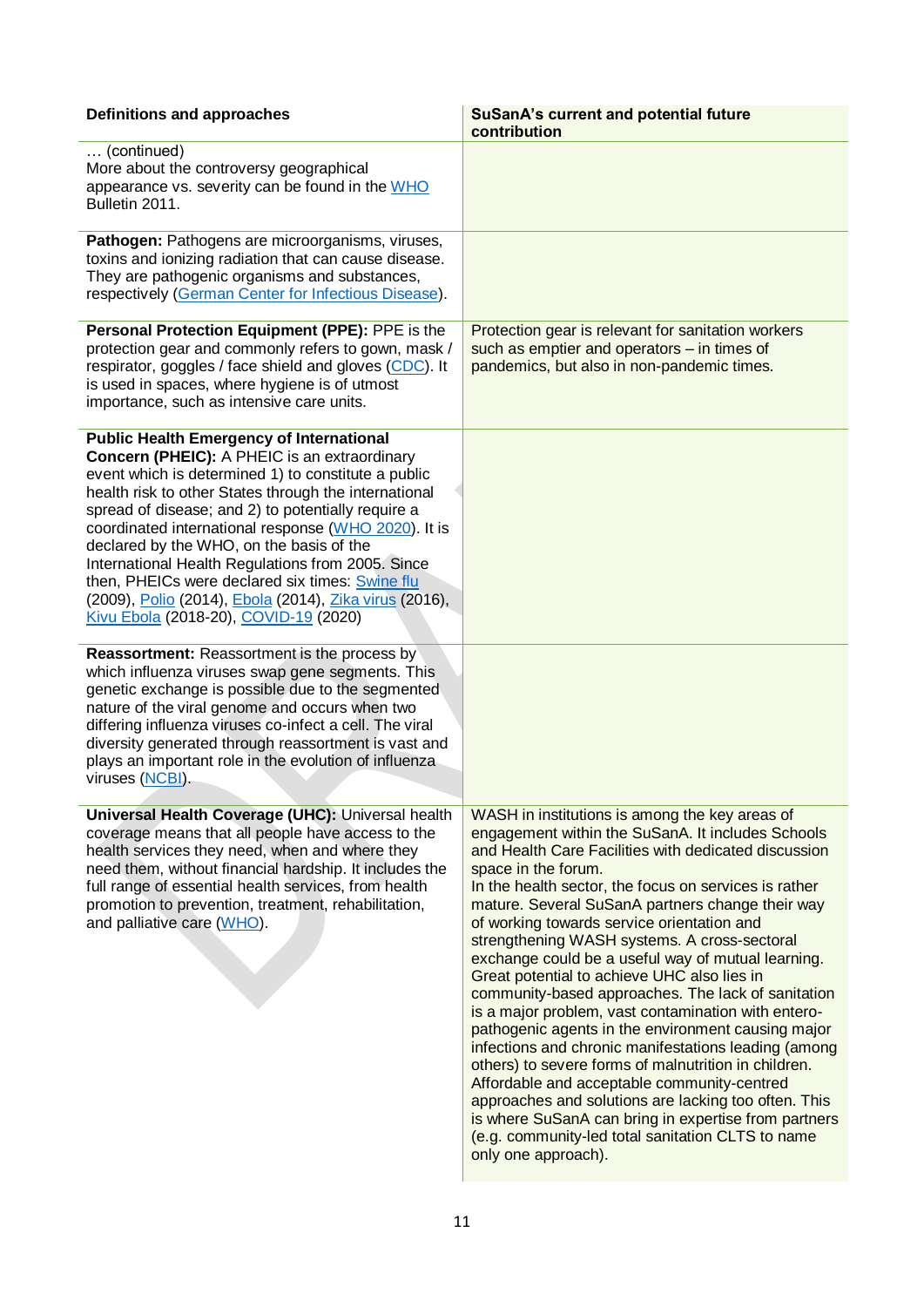| Definitions and approaches                                                                                                                                                                                                                                                                                                                                                                                                                                                                                                                                                           | <b>SuSanA's current and potential future</b><br>contribution                                                                                                                                                                                                                                                                                                                                                                                                                                                                                                                                                                                                                                                                                                                                                                                                                                                                                                                                                                     |
|--------------------------------------------------------------------------------------------------------------------------------------------------------------------------------------------------------------------------------------------------------------------------------------------------------------------------------------------------------------------------------------------------------------------------------------------------------------------------------------------------------------------------------------------------------------------------------------|----------------------------------------------------------------------------------------------------------------------------------------------------------------------------------------------------------------------------------------------------------------------------------------------------------------------------------------------------------------------------------------------------------------------------------------------------------------------------------------------------------------------------------------------------------------------------------------------------------------------------------------------------------------------------------------------------------------------------------------------------------------------------------------------------------------------------------------------------------------------------------------------------------------------------------------------------------------------------------------------------------------------------------|
| (continued)<br>More about the controversy geographical<br>appearance vs. severity can be found in the WHO<br>Bulletin 2011.                                                                                                                                                                                                                                                                                                                                                                                                                                                          |                                                                                                                                                                                                                                                                                                                                                                                                                                                                                                                                                                                                                                                                                                                                                                                                                                                                                                                                                                                                                                  |
| Pathogen: Pathogens are microorganisms, viruses,<br>toxins and ionizing radiation that can cause disease.<br>They are pathogenic organisms and substances,<br>respectively (German Center for Infectious Disease).                                                                                                                                                                                                                                                                                                                                                                   |                                                                                                                                                                                                                                                                                                                                                                                                                                                                                                                                                                                                                                                                                                                                                                                                                                                                                                                                                                                                                                  |
| Personal Protection Equipment (PPE): PPE is the<br>protection gear and commonly refers to gown, mask /<br>respirator, goggles / face shield and gloves (CDC). It<br>is used in spaces, where hygiene is of utmost<br>importance, such as intensive care units.                                                                                                                                                                                                                                                                                                                       | Protection gear is relevant for sanitation workers<br>such as emptier and operators - in times of<br>pandemics, but also in non-pandemic times.                                                                                                                                                                                                                                                                                                                                                                                                                                                                                                                                                                                                                                                                                                                                                                                                                                                                                  |
| <b>Public Health Emergency of International</b><br>Concern (PHEIC): A PHEIC is an extraordinary<br>event which is determined 1) to constitute a public<br>health risk to other States through the international<br>spread of disease; and 2) to potentially require a<br>coordinated international response (WHO 2020). It is<br>declared by the WHO, on the basis of the<br>International Health Regulations from 2005. Since<br>then, PHEICs were declared six times: Swine flu<br>(2009), Polio (2014), Ebola (2014), Zika virus (2016),<br>Kivu Ebola (2018-20), COVID-19 (2020) |                                                                                                                                                                                                                                                                                                                                                                                                                                                                                                                                                                                                                                                                                                                                                                                                                                                                                                                                                                                                                                  |
| <b>Reassortment:</b> Reassortment is the process by<br>which influenza viruses swap gene segments. This<br>genetic exchange is possible due to the segmented<br>nature of the viral genome and occurs when two<br>differing influenza viruses co-infect a cell. The viral<br>diversity generated through reassortment is vast and<br>plays an important role in the evolution of influenza<br>viruses (NCBI).                                                                                                                                                                        |                                                                                                                                                                                                                                                                                                                                                                                                                                                                                                                                                                                                                                                                                                                                                                                                                                                                                                                                                                                                                                  |
| Universal Health Coverage (UHC): Universal health<br>coverage means that all people have access to the<br>health services they need, when and where they<br>need them, without financial hardship. It includes the<br>full range of essential health services, from health<br>promotion to prevention, treatment, rehabilitation,<br>and palliative care (WHO).                                                                                                                                                                                                                      | WASH in institutions is among the key areas of<br>engagement within the SuSanA. It includes Schools<br>and Health Care Facilities with dedicated discussion<br>space in the forum.<br>In the health sector, the focus on services is rather<br>mature. Several SuSanA partners change their way<br>of working towards service orientation and<br>strengthening WASH systems. A cross-sectoral<br>exchange could be a useful way of mutual learning.<br>Great potential to achieve UHC also lies in<br>community-based approaches. The lack of sanitation<br>is a major problem, vast contamination with entero-<br>pathogenic agents in the environment causing major<br>infections and chronic manifestations leading (among<br>others) to severe forms of malnutrition in children.<br>Affordable and acceptable community-centred<br>approaches and solutions are lacking too often. This<br>is where SuSanA can bring in expertise from partners<br>(e.g. community-led total sanitation CLTS to name<br>only one approach). |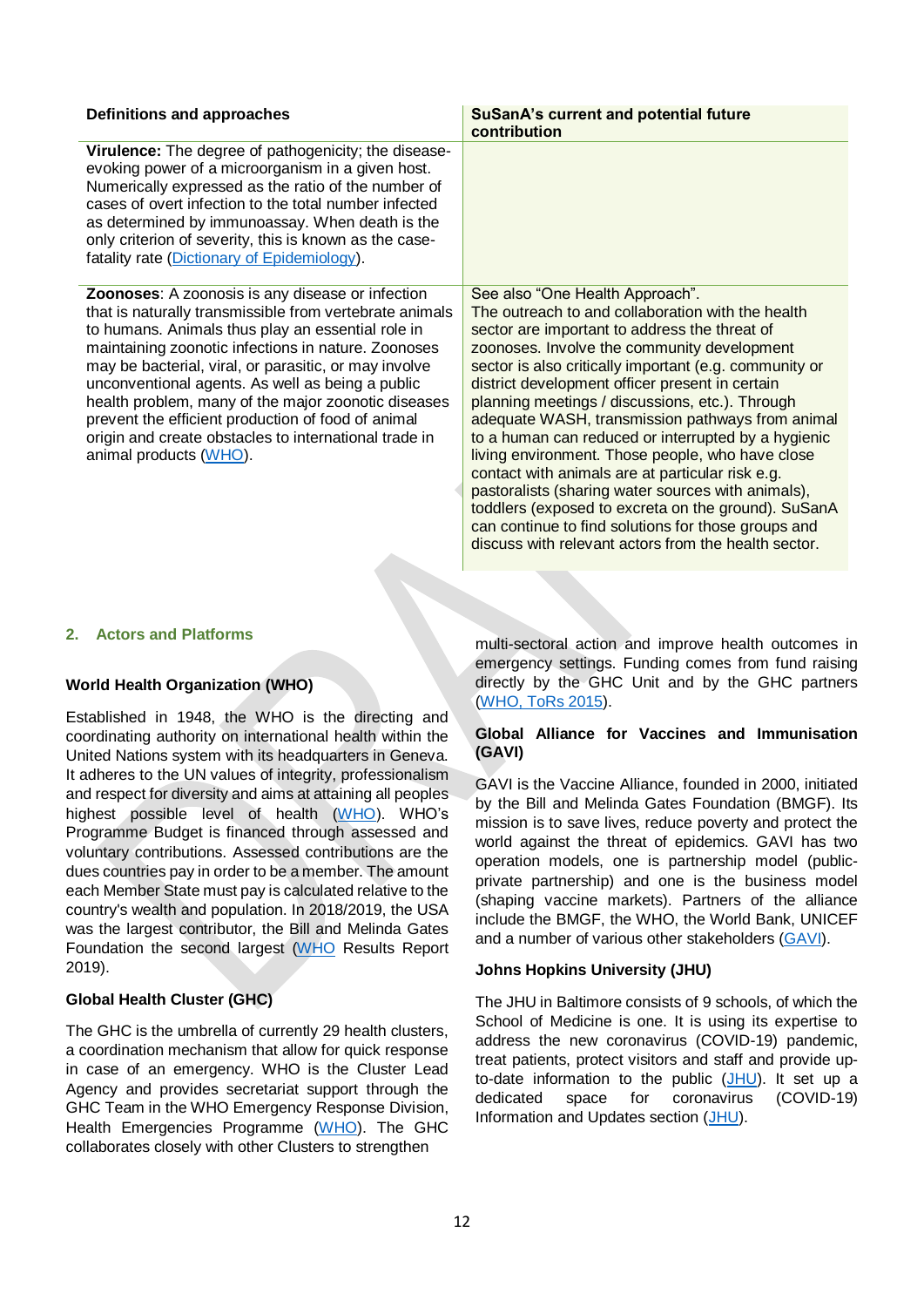| Definitions and approaches                                                                                                                                                                                                                                                                                                                                                                                                                                                                                                           | <b>SuSanA's current and potential future</b><br>contribution                                                                                                                                                                                                                                                                                                                                                                                                                                                                                                                                                                                                                                                                                                                                        |
|--------------------------------------------------------------------------------------------------------------------------------------------------------------------------------------------------------------------------------------------------------------------------------------------------------------------------------------------------------------------------------------------------------------------------------------------------------------------------------------------------------------------------------------|-----------------------------------------------------------------------------------------------------------------------------------------------------------------------------------------------------------------------------------------------------------------------------------------------------------------------------------------------------------------------------------------------------------------------------------------------------------------------------------------------------------------------------------------------------------------------------------------------------------------------------------------------------------------------------------------------------------------------------------------------------------------------------------------------------|
| Virulence: The degree of pathogenicity; the disease-<br>evoking power of a microorganism in a given host.<br>Numerically expressed as the ratio of the number of<br>cases of overt infection to the total number infected<br>as determined by immunoassay. When death is the<br>only criterion of severity, this is known as the case-<br>fatality rate (Dictionary of Epidemiology).                                                                                                                                                |                                                                                                                                                                                                                                                                                                                                                                                                                                                                                                                                                                                                                                                                                                                                                                                                     |
| Zoonoses: A zoonosis is any disease or infection<br>that is naturally transmissible from vertebrate animals<br>to humans. Animals thus play an essential role in<br>maintaining zoonotic infections in nature. Zoonoses<br>may be bacterial, viral, or parasitic, or may involve<br>unconventional agents. As well as being a public<br>health problem, many of the major zoonotic diseases<br>prevent the efficient production of food of animal<br>origin and create obstacles to international trade in<br>animal products (WHO). | See also "One Health Approach".<br>The outreach to and collaboration with the health<br>sector are important to address the threat of<br>zoonoses. Involve the community development<br>sector is also critically important (e.g. community or<br>district development officer present in certain<br>planning meetings / discussions, etc.). Through<br>adequate WASH, transmission pathways from animal<br>to a human can reduced or interrupted by a hygienic<br>living environment. Those people, who have close<br>contact with animals are at particular risk e.g.<br>pastoralists (sharing water sources with animals),<br>toddlers (exposed to excreta on the ground). SuSanA<br>can continue to find solutions for those groups and<br>discuss with relevant actors from the health sector. |

#### **2. Actors and Platforms**

## **World Health Organization (WHO)**

Established in 1948, the WHO is the directing and coordinating authority on international health within the United Nations system with its headquarters in Geneva. It adheres to the UN values of integrity, professionalism and respect for diversity and aims at attaining all peoples highest possible level of health [\(WHO\)](https://www.who.int/about/who-we-are/our-values). WHO's Programme Budget is financed through assessed and voluntary contributions. Assessed contributions are the dues countries pay in order to be a member. The amount each Member State must pay is calculated relative to the country's wealth and population. In 2018/2019, the USA was the largest contributor, the Bill and Melinda Gates Foundation the second largest [\(WHO](https://www.who.int/about/finances-accountability/reports/mtr_18-19_final.pdf?ua=1) Results Report 2019).

#### **Global Health Cluster (GHC)**

The GHC is the umbrella of currently 29 health clusters, a coordination mechanism that allow for quick response in case of an emergency. WHO is the Cluster Lead Agency and provides secretariat support through the GHC Team in the WHO Emergency Response Division, Health Emergencies Programme [\(WHO\)](https://www.who.int/health-cluster/about/en/). The GHC collaborates closely with other Clusters to strengthen

multi-sectoral action and improve health outcomes in emergency settings. Funding comes from fund raising directly by the GHC Unit and by the GHC partners [\(WHO, ToRs 2015\)](https://www.who.int/health-cluster/about/structure/ghc-terms-of-reference.pdf?ua=1).

#### **Global Alliance for Vaccines and Immunisation (GAVI)**

GAVI is the Vaccine Alliance, founded in 2000, initiated by the Bill and Melinda Gates Foundation (BMGF). Its mission is to save lives, reduce poverty and protect the world against the threat of epidemics. GAVI has two operation models, one is partnership model (publicprivate partnership) and one is the business model (shaping vaccine markets). Partners of the alliance include the BMGF, the WHO, the World Bank, UNICEF and a number of various other stakeholders [\(GAVI\)](https://www.gavi.org/our-alliance/operating-model/gavis-partnership-model).

#### **Johns Hopkins University (JHU)**

The JHU in Baltimore consists of 9 schools, of which the School of Medicine is one. It is using its expertise to address the new coronavirus (COVID-19) pandemic, treat patients, protect visitors and staff and provide upto-date information to the public [\(JHU\)](https://www.hopkinsmedicine.org/coronavirus/index.html). It set up a dedicated space for coronavirus (COVID-19) Information and Updates section [\(JHU\)](https://www.hopkinsmedicine.org/coronavirus/index.html).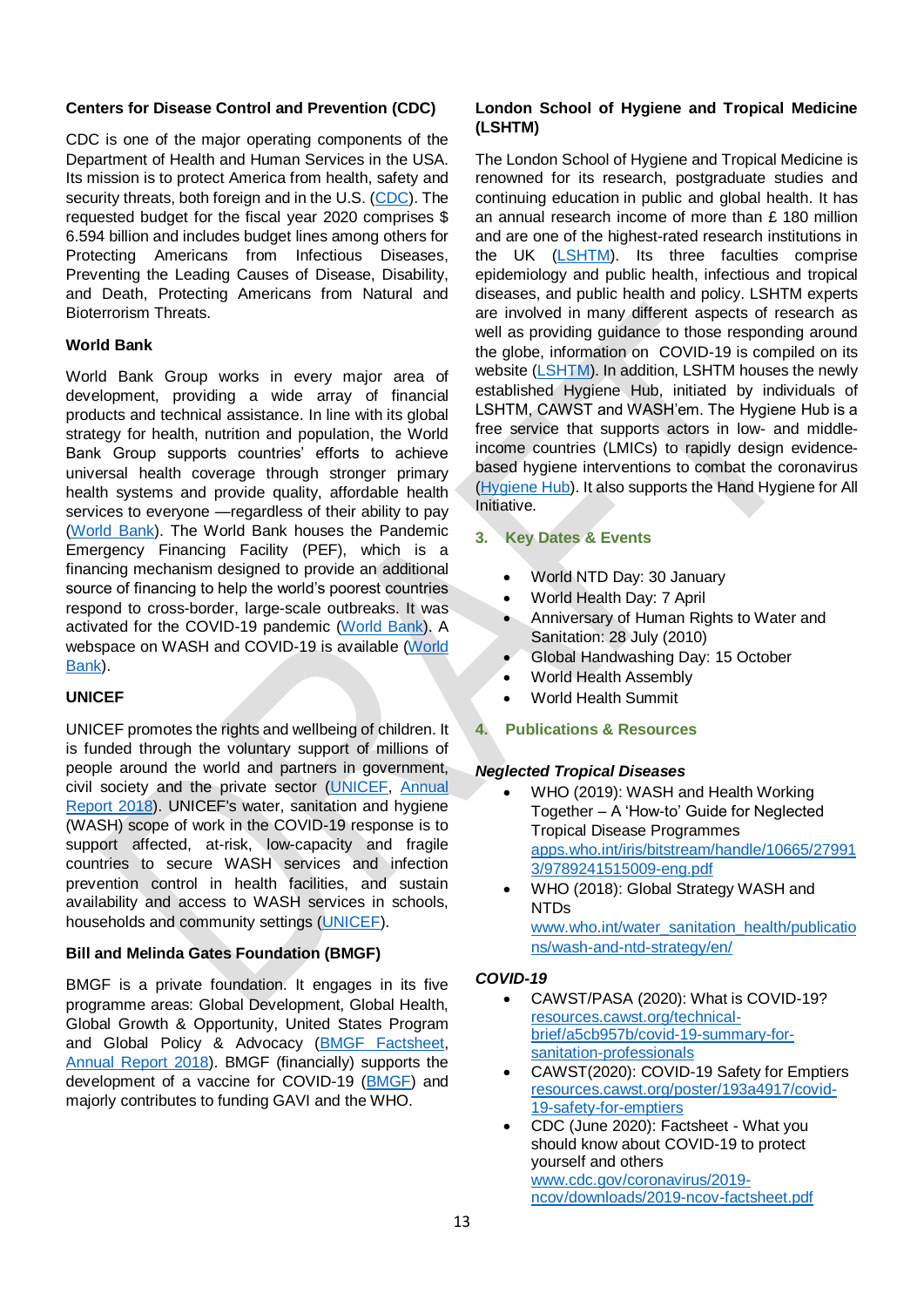#### **Centers for Disease Control and Prevention (CDC)**

CDC is one of the major operating components of the Department of Health and Human Services in the USA. Its mission is to protect America from health, safety and security threats, both foreign and in the U.S. [\(CDC\)](https://www.cdc.gov/about/organization/mission.htm). The requested budget for the fiscal year 2020 comprises \$ 6.594 billion and includes budget lines among others for Protecting Americans from Infectious Diseases, Preventing the Leading Causes of Disease, Disability, and Death, Protecting Americans from Natural and Bioterrorism Threats.

## **World Bank**

World Bank Group works in every major area of development, providing a wide array of financial products and technical assistance. In line with its global strategy for health, nutrition and population, the World Bank Group supports countries' efforts to achieve universal health coverage through stronger primary health systems and provide quality, affordable health services to everyone —regardless of their ability to pay [\(World Bank\)](https://www.worldbank.org/en/topic/health/overview). The World Bank houses the Pandemic Emergency Financing Facility (PEF), which is a financing mechanism designed to provide an additional source of financing to help the world's poorest countries respond to cross-border, large-scale outbreaks. It was activated for the COVID-19 pandemic [\(World Bank\)](https://www.worldbank.org/en/topic/pandemics/brief/fact-sheet-pandemic-emergency-financing-facility). A webspace on WASH and COVID-19 is available [\(World](https://www.worldbank.org/en/topic/water/brief/wash-water-sanitation-hygiene-and-covid-19)  [Bank\)](https://www.worldbank.org/en/topic/water/brief/wash-water-sanitation-hygiene-and-covid-19).

## **UNICEF**

UNICEF promotes the rights and wellbeing of children. It is funded through the voluntary support of millions of people around the world and partners in government, civil society and the private sector [\(UNICEF,](https://www.unicef.org/about-unicef/frequently-asked-questions#7) [Annual](https://www.unicef.org/media/55486/file/UNICEF-annual-report-2018%20revised%201.pdf)  [Report 2018\)](https://www.unicef.org/media/55486/file/UNICEF-annual-report-2018%20revised%201.pdf). UNICEF's water, sanitation and hygiene (WASH) scope of work in the COVID-19 response is to support affected, at-risk, low-capacity and fragile countries to secure WASH services and infection prevention control in health facilities, and sustain availability and access to WASH services in schools, households and community settings [\(UNICEF\)](https://www.unicef.org/documents/wash-programme-contribution-coronavirus-disease-covid-19-prevention-and-response).

# **Bill and Melinda Gates Foundation (BMGF)**

BMGF is a private foundation. It engages in its five programme areas: Global Development, Global Health, Global Growth & Opportunity, United States Program and Global Policy & Advocacy [\(BMGF Factsheet,](https://www.gatesfoundation.org/Who-We-Are/General-Information/Foundation-Factsheet) [Annual Report 2018\)](https://www.gatesfoundation.org/Who-We-Are/Resources-and-Media/Annual-Reports/Annual-Report-2018). BMGF (financially) supports the development of a vaccine for COVID-19 [\(BMGF\)](https://www.gatesfoundation.org/TheOptimist/coronavirus) and majorly contributes to funding GAVI and the WHO.

## **London School of Hygiene and Tropical Medicine (LSHTM)**

The London School of Hygiene and Tropical Medicine is renowned for its research, postgraduate studies and continuing education in public and global health. It has an annual research income of more than £ 180 million and are one of the highest-rated research institutions in the UK [\(LSHTM\)](https://www.lshtm.ac.uk/aboutus). Its three faculties comprise epidemiology and public health, infectious and tropical diseases, and public health and policy. LSHTM experts are involved in many different aspects of research as well as providing guidance to those responding around the globe, information on COVID-19 is compiled on its website [\(LSHTM\)](https://www.lshtm.ac.uk/research/research-action/covid-19). In addition, LSHTM houses the newly established Hygiene Hub, initiated by individuals of LSHTM, CAWST and WASH'em. The Hygiene Hub is a free service that supports actors in low- and middleincome countries (LMICs) to rapidly design evidencebased hygiene interventions to combat the coronavirus [\(Hygiene Hub\)](https://hygienehub.info/about). It also supports the Hand Hygiene for All Initiative.

## **3. Key Dates & Events**

- World NTD Day: 30 January
- World Health Day: 7 April
- Anniversary of Human Rights to Water and Sanitation: 28 July (2010)
- Global Handwashing Day: 15 October
- World Health Assembly
- World Health Summit

# **4. Publications & Resources**

## *Neglected Tropical Diseases*

- WHO (2019): WASH and Health Working Together – A 'How-to' Guide for Neglected Tropical Disease Programmes [apps.who.int/iris/bitstream/handle/10665/27991](https://apps.who.int/iris/bitstream/handle/10665/279913/9789241515009-eng.pdf) [3/9789241515009-eng.pdf](https://apps.who.int/iris/bitstream/handle/10665/279913/9789241515009-eng.pdf)
- WHO (2018): Global Strategy WASH and NTDs [www.who.int/water\\_sanitation\\_health/publicatio](https://www.who.int/water_sanitation_health/publications/wash-and-ntd-strategy/en/) [ns/wash-and-ntd-strategy/en/](https://www.who.int/water_sanitation_health/publications/wash-and-ntd-strategy/en/)

## *COVID-19*

- CAWST/PASA (2020): What is COVID-19? [resources.cawst.org/technical](https://resources.cawst.org/technical-brief/a5cb957b/covid-19-summary-for-sanitation-professionals)[brief/a5cb957b/covid-19-summary-for](https://resources.cawst.org/technical-brief/a5cb957b/covid-19-summary-for-sanitation-professionals)[sanitation-professionals](https://resources.cawst.org/technical-brief/a5cb957b/covid-19-summary-for-sanitation-professionals)
- CAWST(2020): COVID-19 Safety for Emptiers [resources.cawst.org/poster/193a4917/covid-](https://resources.cawst.org/poster/193a4917/covid-19-safety-for-emptiers)[19-safety-for-emptiers](https://resources.cawst.org/poster/193a4917/covid-19-safety-for-emptiers)
- CDC (June 2020): Factsheet What you should know about COVID-19 to protect yourself and others [www.cdc.gov/coronavirus/2019](http://www.cdc.gov/coronavirus/2019-ncov/downloads/2019-ncov-factsheet.pdf) [ncov/downloads/2019-ncov-factsheet.pdf](http://www.cdc.gov/coronavirus/2019-ncov/downloads/2019-ncov-factsheet.pdf)